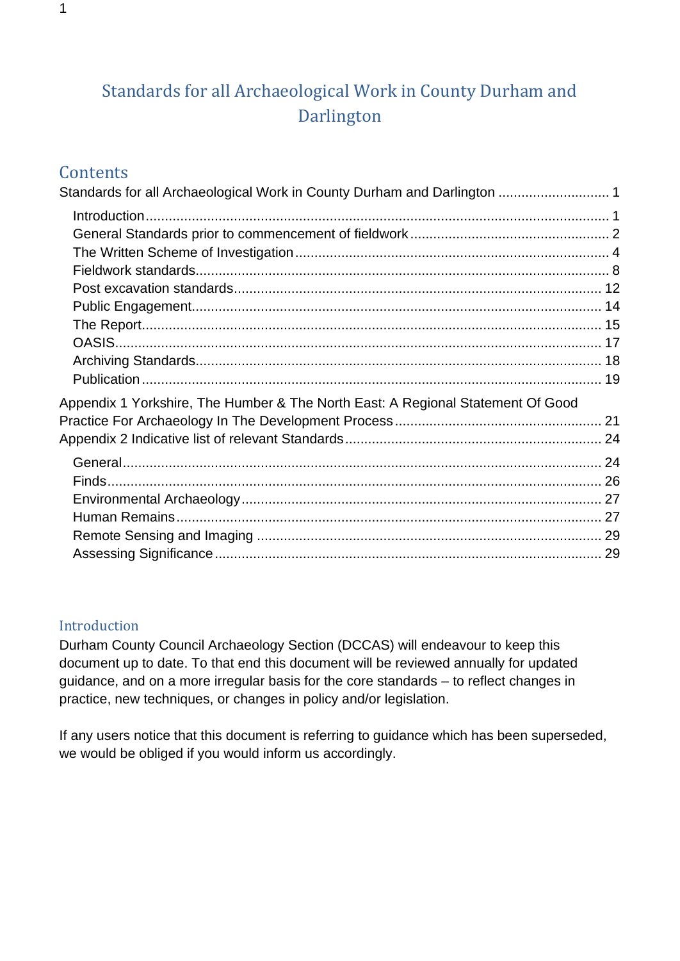# <span id="page-0-0"></span>Standards for all Archaeological Work in County Durham and Darlington

## **Contents**

| Standards for all Archaeological Work in County Durham and Darlington  1        |  |
|---------------------------------------------------------------------------------|--|
|                                                                                 |  |
|                                                                                 |  |
|                                                                                 |  |
|                                                                                 |  |
|                                                                                 |  |
|                                                                                 |  |
|                                                                                 |  |
|                                                                                 |  |
|                                                                                 |  |
|                                                                                 |  |
| Appendix 1 Yorkshire, The Humber & The North East: A Regional Statement Of Good |  |
|                                                                                 |  |
|                                                                                 |  |
|                                                                                 |  |
|                                                                                 |  |
|                                                                                 |  |
|                                                                                 |  |
|                                                                                 |  |
|                                                                                 |  |
|                                                                                 |  |

#### <span id="page-0-1"></span>Introduction

Durham County Council Archaeology Section (DCCAS) will endeavour to keep this document up to date. To that end this document will be reviewed annually for updated guidance, and on a more irregular basis for the core standards – to reflect changes in practice, new techniques, or changes in policy and/or legislation.

If any users notice that this document is referring to guidance which has been superseded, we would be obliged if you would inform us accordingly.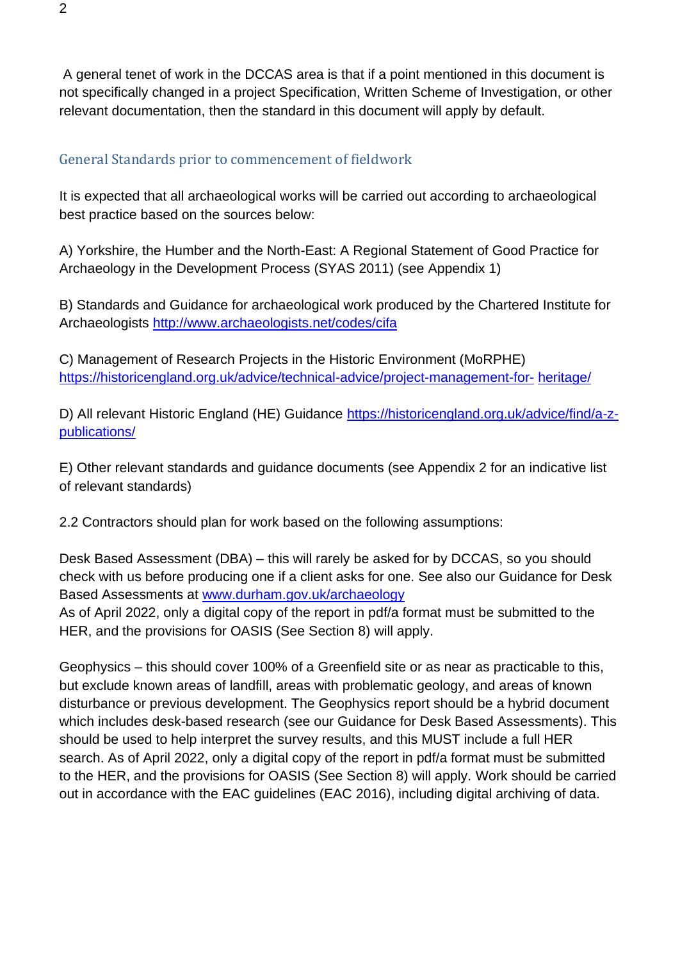A general tenet of work in the DCCAS area is that if a point mentioned in this document is not specifically changed in a project Specification, Written Scheme of Investigation, or other relevant documentation, then the standard in this document will apply by default.

#### <span id="page-1-0"></span>General Standards prior to commencement of fieldwork

It is expected that all archaeological works will be carried out according to archaeological best practice based on the sources below:

A) Yorkshire, the Humber and the North-East: A Regional Statement of Good Practice for Archaeology in the Development Process (SYAS 2011) (see Appendix 1)

B) Standards and Guidance for archaeological work produced by the Chartered Institute for Archaeologists<http://www.archaeologists.net/codes/cifa>

C) Management of Research Projects in the Historic Environment (MoRPHE) [https://historicengland.org.uk/advice/technical-advice/project-management-for-](https://historicengland.org.uk/advice/technical-advice/project-management-for-heritage/) [heritage/](https://historicengland.org.uk/advice/technical-advice/project-management-for-heritage/)

D) All relevant Historic England (HE) Guidance [https://historicengland.org.uk/advice/find/a-z](https://historicengland.org.uk/advice/find/a-z-publications/)[publications/](https://historicengland.org.uk/advice/find/a-z-publications/)

E) Other relevant standards and guidance documents (see Appendix 2 for an indicative list of relevant standards)

2.2 Contractors should plan for work based on the following assumptions:

Desk Based Assessment (DBA) – this will rarely be asked for by DCCAS, so you should check with us before producing one if a client asks for one. See also our Guidance for Desk Based Assessments at [www.durham.gov.uk/archaeology](http://www.durham.gov.uk/archaeology)

As of April 2022, only a digital copy of the report in pdf/a format must be submitted to the HER, and the provisions for OASIS (See Section 8) will apply.

Geophysics – this should cover 100% of a Greenfield site or as near as practicable to this, but exclude known areas of landfill, areas with problematic geology, and areas of known disturbance or previous development. The Geophysics report should be a hybrid document which includes desk-based research (see our Guidance for Desk Based Assessments). This should be used to help interpret the survey results, and this MUST include a full HER search. As of April 2022, only a digital copy of the report in pdf/a format must be submitted to the HER, and the provisions for OASIS (See Section 8) will apply. Work should be carried out in accordance with the EAC guidelines (EAC 2016), including digital archiving of data.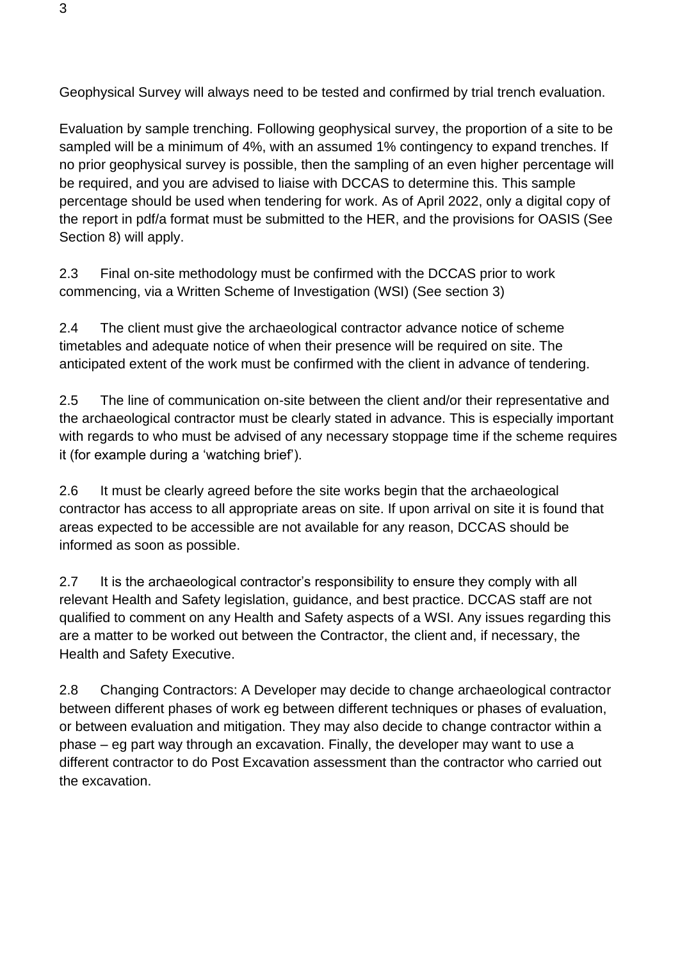Geophysical Survey will always need to be tested and confirmed by trial trench evaluation.

Evaluation by sample trenching. Following geophysical survey, the proportion of a site to be sampled will be a minimum of 4%, with an assumed 1% contingency to expand trenches. If no prior geophysical survey is possible, then the sampling of an even higher percentage will be required, and you are advised to liaise with DCCAS to determine this. This sample percentage should be used when tendering for work. As of April 2022, only a digital copy of the report in pdf/a format must be submitted to the HER, and the provisions for OASIS (See Section 8) will apply.

2.3 Final on-site methodology must be confirmed with the DCCAS prior to work commencing, via a Written Scheme of Investigation (WSI) (See section 3)

2.4 The client must give the archaeological contractor advance notice of scheme timetables and adequate notice of when their presence will be required on site. The anticipated extent of the work must be confirmed with the client in advance of tendering.

2.5 The line of communication on-site between the client and/or their representative and the archaeological contractor must be clearly stated in advance. This is especially important with regards to who must be advised of any necessary stoppage time if the scheme requires it (for example during a 'watching brief').

2.6 It must be clearly agreed before the site works begin that the archaeological contractor has access to all appropriate areas on site. If upon arrival on site it is found that areas expected to be accessible are not available for any reason, DCCAS should be informed as soon as possible.

2.7 It is the archaeological contractor's responsibility to ensure they comply with all relevant Health and Safety legislation, guidance, and best practice. DCCAS staff are not qualified to comment on any Health and Safety aspects of a WSI. Any issues regarding this are a matter to be worked out between the Contractor, the client and, if necessary, the Health and Safety Executive.

2.8 Changing Contractors: A Developer may decide to change archaeological contractor between different phases of work eg between different techniques or phases of evaluation, or between evaluation and mitigation. They may also decide to change contractor within a phase – eg part way through an excavation. Finally, the developer may want to use a different contractor to do Post Excavation assessment than the contractor who carried out the excavation.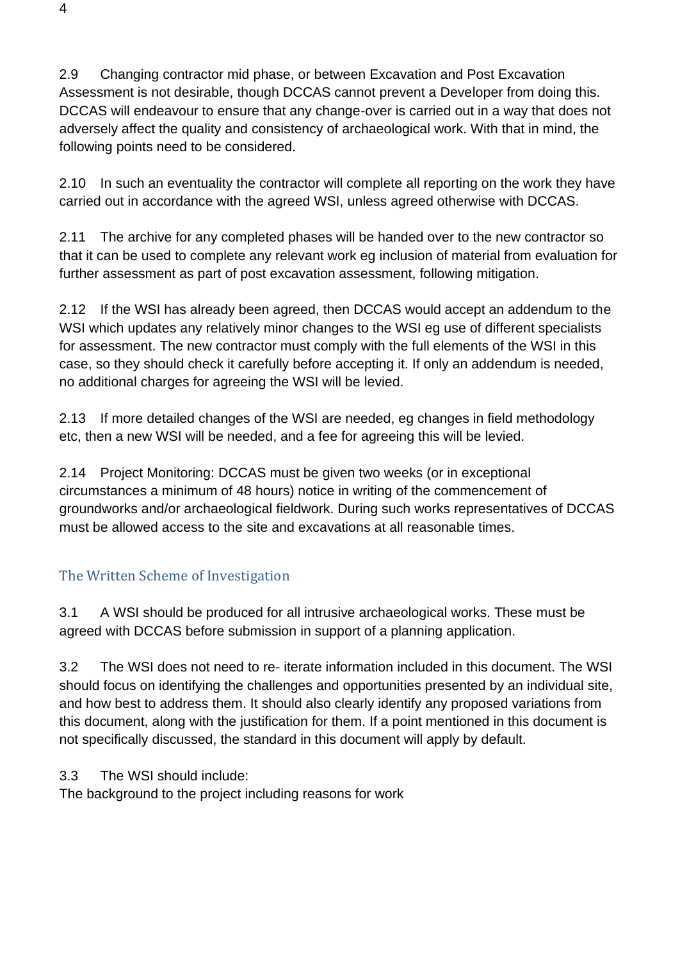2.9 Changing contractor mid phase, or between Excavation and Post Excavation Assessment is not desirable, though DCCAS cannot prevent a Developer from doing this. DCCAS will endeavour to ensure that any change-over is carried out in a way that does not adversely affect the quality and consistency of archaeological work. With that in mind, the following points need to be considered.

2.10 In such an eventuality the contractor will complete all reporting on the work they have carried out in accordance with the agreed WSI, unless agreed otherwise with DCCAS.

2.11 The archive for any completed phases will be handed over to the new contractor so that it can be used to complete any relevant work eg inclusion of material from evaluation for further assessment as part of post excavation assessment, following mitigation.

2.12 If the WSI has already been agreed, then DCCAS would accept an addendum to the WSI which updates any relatively minor changes to the WSI eg use of different specialists for assessment. The new contractor must comply with the full elements of the WSI in this case, so they should check it carefully before accepting it. If only an addendum is needed, no additional charges for agreeing the WSI will be levied.

2.13 If more detailed changes of the WSI are needed, eg changes in field methodology etc, then a new WSI will be needed, and a fee for agreeing this will be levied.

2.14 Project Monitoring: DCCAS must be given two weeks (or in exceptional circumstances a minimum of 48 hours) notice in writing of the commencement of groundworks and/or archaeological fieldwork. During such works representatives of DCCAS must be allowed access to the site and excavations at all reasonable times.

## <span id="page-3-0"></span>The Written Scheme of Investigation

3.1 A WSI should be produced for all intrusive archaeological works. These must be agreed with DCCAS before submission in support of a planning application.

3.2 The WSI does not need to re- iterate information included in this document. The WSI should focus on identifying the challenges and opportunities presented by an individual site, and how best to address them. It should also clearly identify any proposed variations from this document, along with the justification for them. If a point mentioned in this document is not specifically discussed, the standard in this document will apply by default.

3.3 The WSI should include:

The background to the project including reasons for work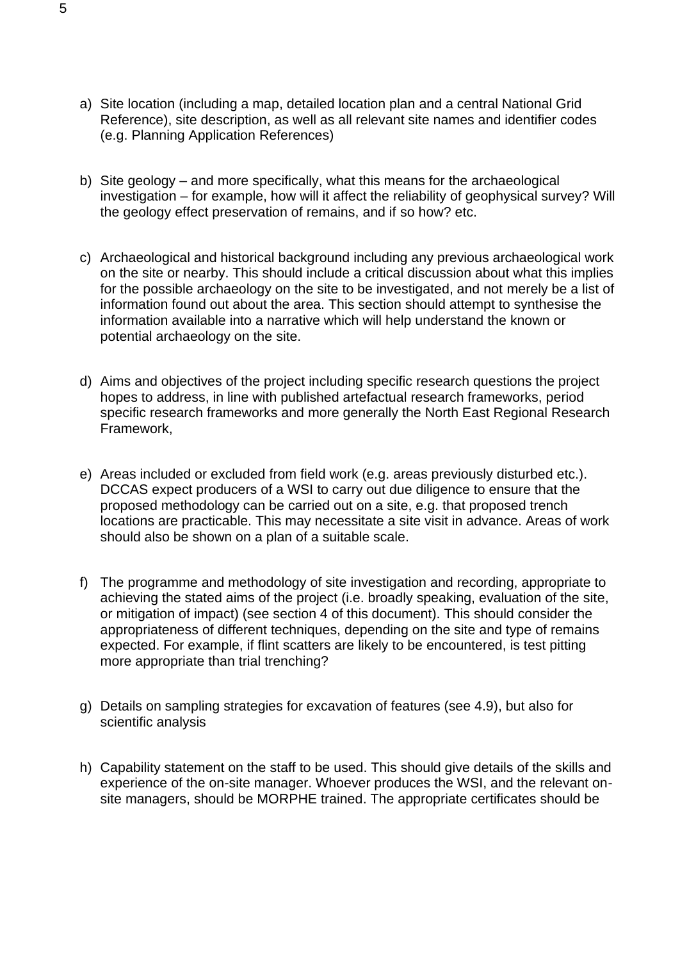- a) Site location (including a map, detailed location plan and a central National Grid Reference), site description, as well as all relevant site names and identifier codes (e.g. Planning Application References)
- b) Site geology and more specifically, what this means for the archaeological investigation – for example, how will it affect the reliability of geophysical survey? Will the geology effect preservation of remains, and if so how? etc.
- c) Archaeological and historical background including any previous archaeological work on the site or nearby. This should include a critical discussion about what this implies for the possible archaeology on the site to be investigated, and not merely be a list of information found out about the area. This section should attempt to synthesise the information available into a narrative which will help understand the known or potential archaeology on the site.
- d) Aims and objectives of the project including specific research questions the project hopes to address, in line with published artefactual research frameworks, period specific research frameworks and more generally the North East Regional Research Framework,
- e) Areas included or excluded from field work (e.g. areas previously disturbed etc.). DCCAS expect producers of a WSI to carry out due diligence to ensure that the proposed methodology can be carried out on a site, e.g. that proposed trench locations are practicable. This may necessitate a site visit in advance. Areas of work should also be shown on a plan of a suitable scale.
- f) The programme and methodology of site investigation and recording, appropriate to achieving the stated aims of the project (i.e. broadly speaking, evaluation of the site, or mitigation of impact) (see section 4 of this document). This should consider the appropriateness of different techniques, depending on the site and type of remains expected. For example, if flint scatters are likely to be encountered, is test pitting more appropriate than trial trenching?
- g) Details on sampling strategies for excavation of features (see 4.9), but also for scientific analysis
- h) Capability statement on the staff to be used. This should give details of the skills and experience of the on-site manager. Whoever produces the WSI, and the relevant onsite managers, should be MORPHE trained. The appropriate certificates should be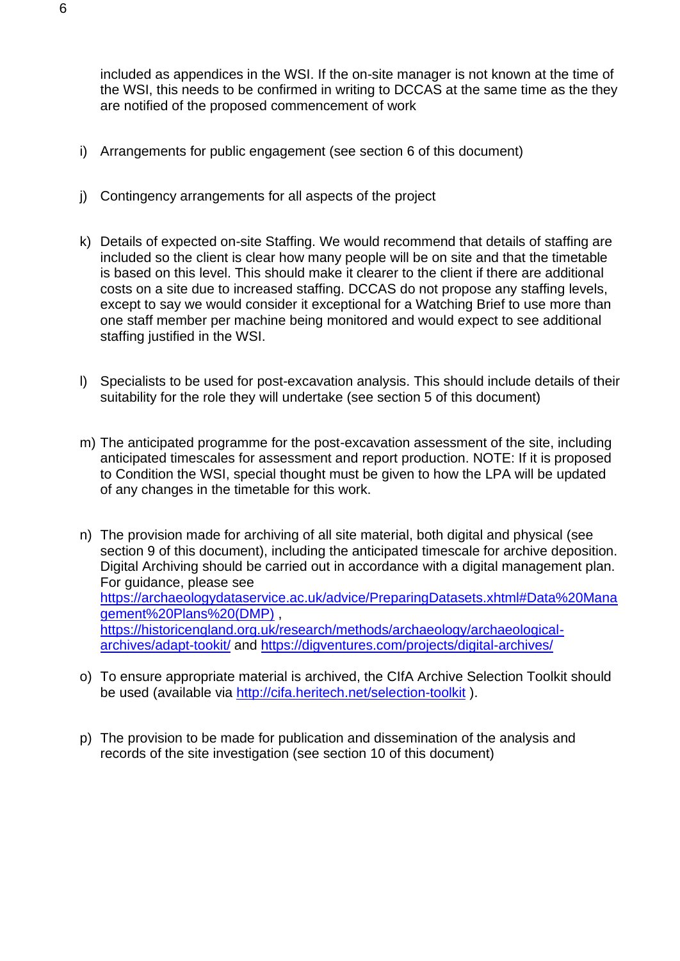included as appendices in the WSI. If the on-site manager is not known at the time of the WSI, this needs to be confirmed in writing to DCCAS at the same time as the they are notified of the proposed commencement of work

- i) Arrangements for public engagement (see section 6 of this document)
- j) Contingency arrangements for all aspects of the project
- k) Details of expected on-site Staffing. We would recommend that details of staffing are included so the client is clear how many people will be on site and that the timetable is based on this level. This should make it clearer to the client if there are additional costs on a site due to increased staffing. DCCAS do not propose any staffing levels, except to say we would consider it exceptional for a Watching Brief to use more than one staff member per machine being monitored and would expect to see additional staffing justified in the WSI.
- l) Specialists to be used for post-excavation analysis. This should include details of their suitability for the role they will undertake (see section 5 of this document)
- m) The anticipated programme for the post-excavation assessment of the site, including anticipated timescales for assessment and report production. NOTE: If it is proposed to Condition the WSI, special thought must be given to how the LPA will be updated of any changes in the timetable for this work.
- n) The provision made for archiving of all site material, both digital and physical (see section 9 of this document), including the anticipated timescale for archive deposition. Digital Archiving should be carried out in accordance with a digital management plan. For guidance, please see [https://archaeologydataservice.ac.uk/advice/PreparingDatasets.xhtml#Data%20Mana](https://archaeologydataservice.ac.uk/advice/PreparingDatasets.xhtml#Data%20Management%20Plans%20(DMP)) [gement%20Plans%20\(DMP\)](https://archaeologydataservice.ac.uk/advice/PreparingDatasets.xhtml#Data%20Management%20Plans%20(DMP)) , [https://historicengland.org.uk/research/methods/archaeology/archaeological](https://historicengland.org.uk/research/methods/archaeology/archaeological-archives/adapt-tookit/)[archives/adapt-tookit/](https://historicengland.org.uk/research/methods/archaeology/archaeological-archives/adapt-tookit/) and<https://digventures.com/projects/digital-archives/>
- o) To ensure appropriate material is archived, the CIfA Archive Selection Toolkit should be used (available via<http://cifa.heritech.net/selection-toolkit> ).
- p) The provision to be made for publication and dissemination of the analysis and records of the site investigation (see section 10 of this document)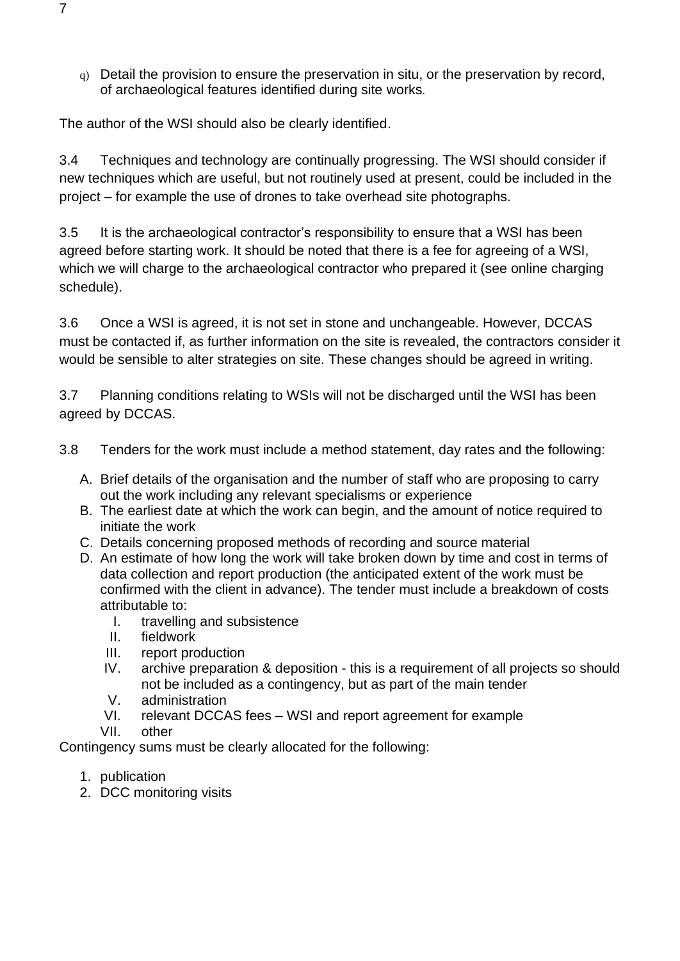q) Detail the provision to ensure the preservation in situ, or the preservation by record, of archaeological features identified during site works.

The author of the WSI should also be clearly identified.

3.4 Techniques and technology are continually progressing. The WSI should consider if new techniques which are useful, but not routinely used at present, could be included in the project – for example the use of drones to take overhead site photographs.

3.5 It is the archaeological contractor's responsibility to ensure that a WSI has been agreed before starting work. It should be noted that there is a fee for agreeing of a WSI, which we will charge to the archaeological contractor who prepared it (see online charging schedule).

3.6 Once a WSI is agreed, it is not set in stone and unchangeable. However, DCCAS must be contacted if, as further information on the site is revealed, the contractors consider it would be sensible to alter strategies on site. These changes should be agreed in writing.

3.7 Planning conditions relating to WSIs will not be discharged until the WSI has been agreed by DCCAS.

- 3.8 Tenders for the work must include a method statement, day rates and the following:
	- A. Brief details of the organisation and the number of staff who are proposing to carry out the work including any relevant specialisms or experience
	- B. The earliest date at which the work can begin, and the amount of notice required to initiate the work
	- C. Details concerning proposed methods of recording and source material
	- D. An estimate of how long the work will take broken down by time and cost in terms of data collection and report production (the anticipated extent of the work must be confirmed with the client in advance). The tender must include a breakdown of costs attributable to:
		- I. travelling and subsistence
		- II. fieldwork
		- III. report production
		- IV. archive preparation & deposition this is a requirement of all projects so should not be included as a contingency, but as part of the main tender
		- V. administration
		- VI. relevant DCCAS fees WSI and report agreement for example
		- VII. other

Contingency sums must be clearly allocated for the following:

- 1. publication
- 2. DCC monitoring visits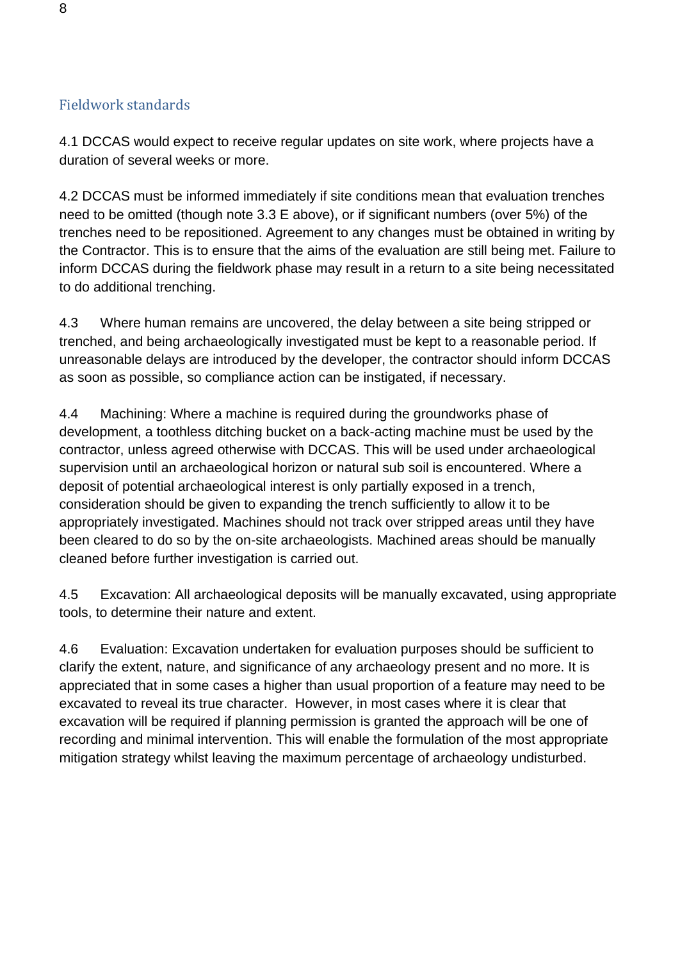### <span id="page-7-0"></span>Fieldwork standards

4.1 DCCAS would expect to receive regular updates on site work, where projects have a duration of several weeks or more.

4.2 DCCAS must be informed immediately if site conditions mean that evaluation trenches need to be omitted (though note 3.3 E above), or if significant numbers (over 5%) of the trenches need to be repositioned. Agreement to any changes must be obtained in writing by the Contractor. This is to ensure that the aims of the evaluation are still being met. Failure to inform DCCAS during the fieldwork phase may result in a return to a site being necessitated to do additional trenching.

4.3 Where human remains are uncovered, the delay between a site being stripped or trenched, and being archaeologically investigated must be kept to a reasonable period. If unreasonable delays are introduced by the developer, the contractor should inform DCCAS as soon as possible, so compliance action can be instigated, if necessary.

4.4 Machining: Where a machine is required during the groundworks phase of development, a toothless ditching bucket on a back-acting machine must be used by the contractor, unless agreed otherwise with DCCAS. This will be used under archaeological supervision until an archaeological horizon or natural sub soil is encountered. Where a deposit of potential archaeological interest is only partially exposed in a trench, consideration should be given to expanding the trench sufficiently to allow it to be appropriately investigated. Machines should not track over stripped areas until they have been cleared to do so by the on-site archaeologists. Machined areas should be manually cleaned before further investigation is carried out.

4.5 Excavation: All archaeological deposits will be manually excavated, using appropriate tools, to determine their nature and extent.

4.6 Evaluation: Excavation undertaken for evaluation purposes should be sufficient to clarify the extent, nature, and significance of any archaeology present and no more. It is appreciated that in some cases a higher than usual proportion of a feature may need to be excavated to reveal its true character. However, in most cases where it is clear that excavation will be required if planning permission is granted the approach will be one of recording and minimal intervention. This will enable the formulation of the most appropriate mitigation strategy whilst leaving the maximum percentage of archaeology undisturbed.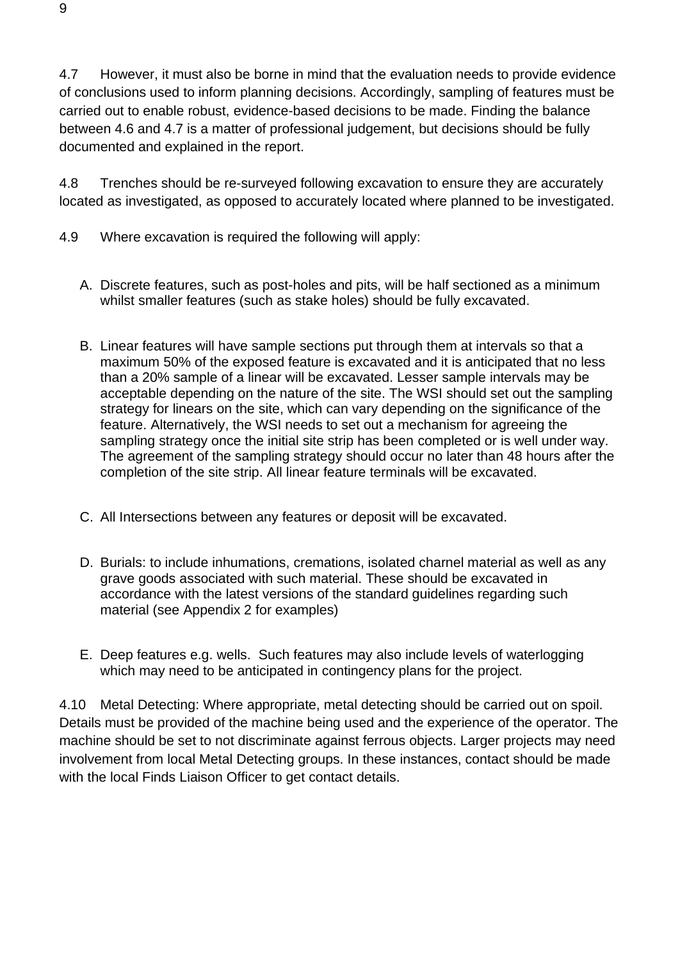4.7 However, it must also be borne in mind that the evaluation needs to provide evidence of conclusions used to inform planning decisions. Accordingly, sampling of features must be carried out to enable robust, evidence-based decisions to be made. Finding the balance between 4.6 and 4.7 is a matter of professional judgement, but decisions should be fully documented and explained in the report.

4.8 Trenches should be re-surveyed following excavation to ensure they are accurately located as investigated, as opposed to accurately located where planned to be investigated.

- 4.9 Where excavation is required the following will apply:
	- A. Discrete features, such as post-holes and pits, will be half sectioned as a minimum whilst smaller features (such as stake holes) should be fully excavated.
	- B. Linear features will have sample sections put through them at intervals so that a maximum 50% of the exposed feature is excavated and it is anticipated that no less than a 20% sample of a linear will be excavated. Lesser sample intervals may be acceptable depending on the nature of the site. The WSI should set out the sampling strategy for linears on the site, which can vary depending on the significance of the feature. Alternatively, the WSI needs to set out a mechanism for agreeing the sampling strategy once the initial site strip has been completed or is well under way. The agreement of the sampling strategy should occur no later than 48 hours after the completion of the site strip. All linear feature terminals will be excavated.
	- C. All Intersections between any features or deposit will be excavated.
	- D. Burials: to include inhumations, cremations, isolated charnel material as well as any grave goods associated with such material. These should be excavated in accordance with the latest versions of the standard guidelines regarding such material (see Appendix 2 for examples)
	- E. Deep features e.g. wells. Such features may also include levels of waterlogging which may need to be anticipated in contingency plans for the project.

4.10 Metal Detecting: Where appropriate, metal detecting should be carried out on spoil. Details must be provided of the machine being used and the experience of the operator. The machine should be set to not discriminate against ferrous objects. Larger projects may need involvement from local Metal Detecting groups. In these instances, contact should be made with the local Finds Liaison Officer to get contact details.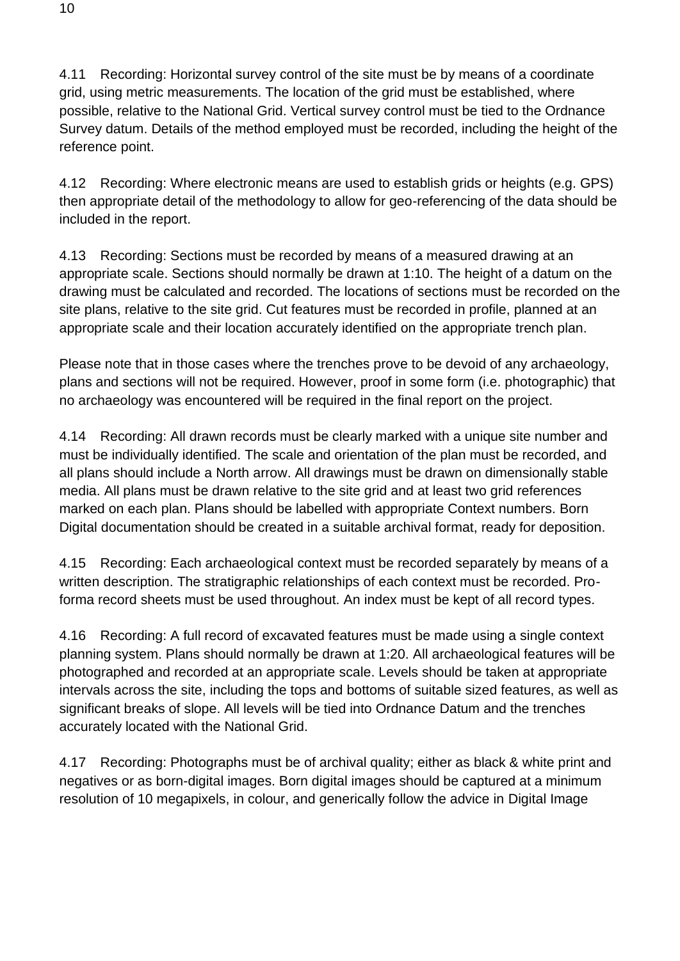4.11 Recording: Horizontal survey control of the site must be by means of a coordinate grid, using metric measurements. The location of the grid must be established, where possible, relative to the National Grid. Vertical survey control must be tied to the Ordnance Survey datum. Details of the method employed must be recorded, including the height of the reference point.

4.12 Recording: Where electronic means are used to establish grids or heights (e.g. GPS) then appropriate detail of the methodology to allow for geo-referencing of the data should be included in the report.

4.13 Recording: Sections must be recorded by means of a measured drawing at an appropriate scale. Sections should normally be drawn at 1:10. The height of a datum on the drawing must be calculated and recorded. The locations of sections must be recorded on the site plans, relative to the site grid. Cut features must be recorded in profile, planned at an appropriate scale and their location accurately identified on the appropriate trench plan.

Please note that in those cases where the trenches prove to be devoid of any archaeology, plans and sections will not be required. However, proof in some form (i.e. photographic) that no archaeology was encountered will be required in the final report on the project.

4.14 Recording: All drawn records must be clearly marked with a unique site number and must be individually identified. The scale and orientation of the plan must be recorded, and all plans should include a North arrow. All drawings must be drawn on dimensionally stable media. All plans must be drawn relative to the site grid and at least two grid references marked on each plan. Plans should be labelled with appropriate Context numbers. Born Digital documentation should be created in a suitable archival format, ready for deposition.

4.15 Recording: Each archaeological context must be recorded separately by means of a written description. The stratigraphic relationships of each context must be recorded. Proforma record sheets must be used throughout. An index must be kept of all record types.

4.16 Recording: A full record of excavated features must be made using a single context planning system. Plans should normally be drawn at 1:20. All archaeological features will be photographed and recorded at an appropriate scale. Levels should be taken at appropriate intervals across the site, including the tops and bottoms of suitable sized features, as well as significant breaks of slope. All levels will be tied into Ordnance Datum and the trenches accurately located with the National Grid.

4.17 Recording: Photographs must be of archival quality; either as black & white print and negatives or as born-digital images. Born digital images should be captured at a minimum resolution of 10 megapixels, in colour, and generically follow the advice in Digital Image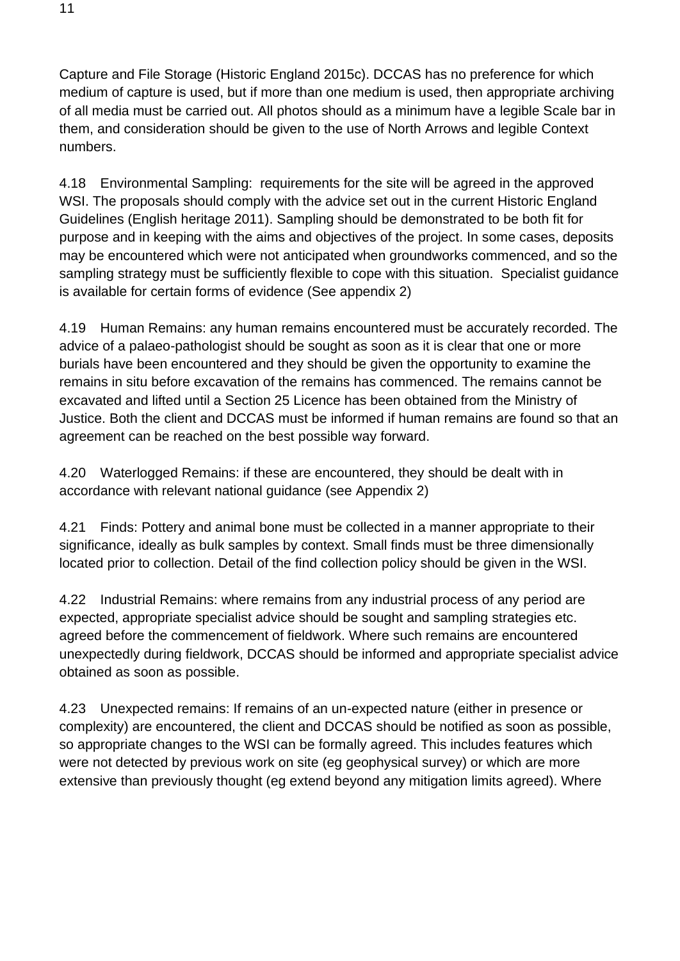Capture and File Storage (Historic England 2015c). DCCAS has no preference for which medium of capture is used, but if more than one medium is used, then appropriate archiving of all media must be carried out. All photos should as a minimum have a legible Scale bar in them, and consideration should be given to the use of North Arrows and legible Context numbers.

4.18 Environmental Sampling: requirements for the site will be agreed in the approved WSI. The proposals should comply with the advice set out in the current Historic England Guidelines (English heritage 2011). Sampling should be demonstrated to be both fit for purpose and in keeping with the aims and objectives of the project. In some cases, deposits may be encountered which were not anticipated when groundworks commenced, and so the sampling strategy must be sufficiently flexible to cope with this situation. Specialist guidance is available for certain forms of evidence (See appendix 2)

4.19 Human Remains: any human remains encountered must be accurately recorded. The advice of a palaeo-pathologist should be sought as soon as it is clear that one or more burials have been encountered and they should be given the opportunity to examine the remains in situ before excavation of the remains has commenced. The remains cannot be excavated and lifted until a Section 25 Licence has been obtained from the Ministry of Justice. Both the client and DCCAS must be informed if human remains are found so that an agreement can be reached on the best possible way forward.

4.20 Waterlogged Remains: if these are encountered, they should be dealt with in accordance with relevant national guidance (see Appendix 2)

4.21 Finds: Pottery and animal bone must be collected in a manner appropriate to their significance, ideally as bulk samples by context. Small finds must be three dimensionally located prior to collection. Detail of the find collection policy should be given in the WSI.

4.22 Industrial Remains: where remains from any industrial process of any period are expected, appropriate specialist advice should be sought and sampling strategies etc. agreed before the commencement of fieldwork. Where such remains are encountered unexpectedly during fieldwork, DCCAS should be informed and appropriate specialist advice obtained as soon as possible.

4.23 Unexpected remains: If remains of an un-expected nature (either in presence or complexity) are encountered, the client and DCCAS should be notified as soon as possible, so appropriate changes to the WSI can be formally agreed. This includes features which were not detected by previous work on site (eg geophysical survey) or which are more extensive than previously thought (eg extend beyond any mitigation limits agreed). Where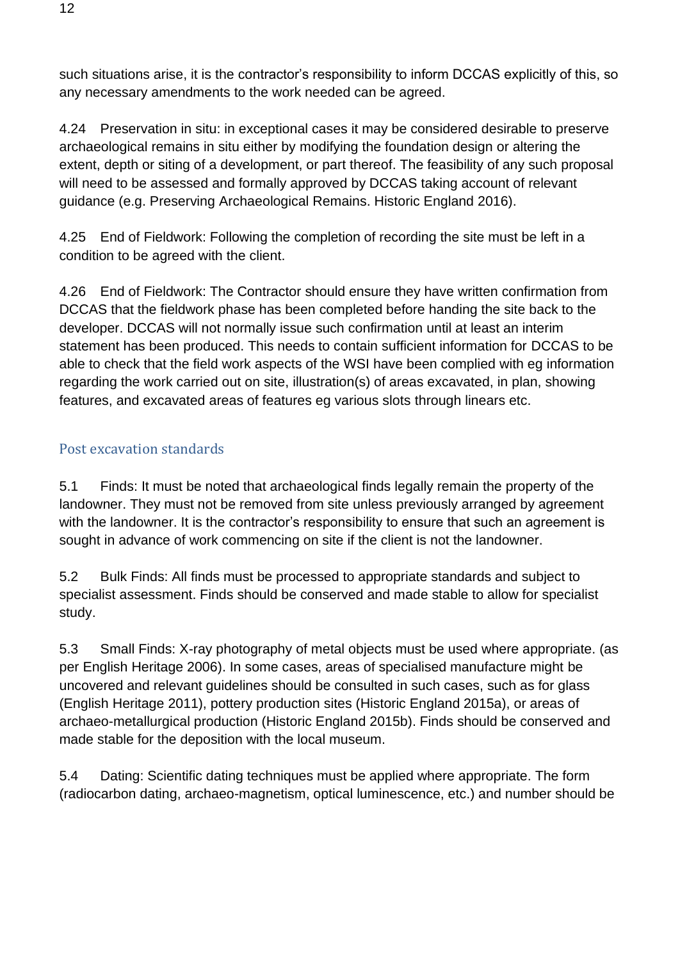such situations arise, it is the contractor's responsibility to inform DCCAS explicitly of this, so any necessary amendments to the work needed can be agreed.

4.24 Preservation in situ: in exceptional cases it may be considered desirable to preserve archaeological remains in situ either by modifying the foundation design or altering the extent, depth or siting of a development, or part thereof. The feasibility of any such proposal will need to be assessed and formally approved by DCCAS taking account of relevant guidance (e.g. Preserving Archaeological Remains. Historic England 2016).

4.25 End of Fieldwork: Following the completion of recording the site must be left in a condition to be agreed with the client.

4.26 End of Fieldwork: The Contractor should ensure they have written confirmation from DCCAS that the fieldwork phase has been completed before handing the site back to the developer. DCCAS will not normally issue such confirmation until at least an interim statement has been produced. This needs to contain sufficient information for DCCAS to be able to check that the field work aspects of the WSI have been complied with eg information regarding the work carried out on site, illustration(s) of areas excavated, in plan, showing features, and excavated areas of features eg various slots through linears etc.

## <span id="page-11-0"></span>Post excavation standards

5.1 Finds: It must be noted that archaeological finds legally remain the property of the landowner. They must not be removed from site unless previously arranged by agreement with the landowner. It is the contractor's responsibility to ensure that such an agreement is sought in advance of work commencing on site if the client is not the landowner.

5.2 Bulk Finds: All finds must be processed to appropriate standards and subject to specialist assessment. Finds should be conserved and made stable to allow for specialist study.

5.3 Small Finds: X-ray photography of metal objects must be used where appropriate. (as per English Heritage 2006). In some cases, areas of specialised manufacture might be uncovered and relevant guidelines should be consulted in such cases, such as for glass (English Heritage 2011), pottery production sites (Historic England 2015a), or areas of archaeo-metallurgical production (Historic England 2015b). Finds should be conserved and made stable for the deposition with the local museum.

5.4 Dating: Scientific dating techniques must be applied where appropriate. The form (radiocarbon dating, archaeo-magnetism, optical luminescence, etc.) and number should be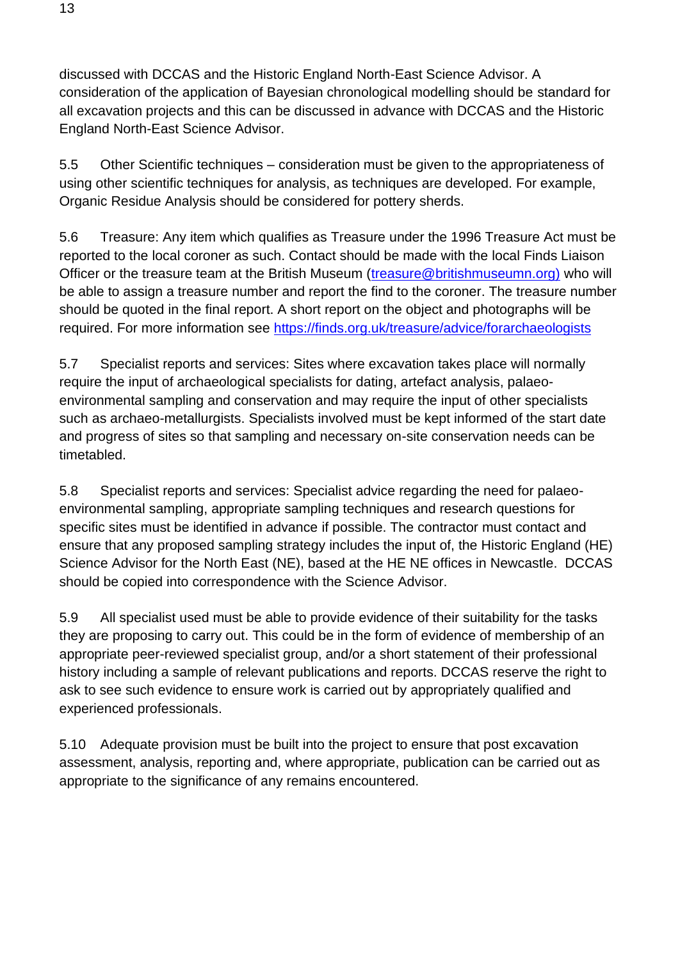discussed with DCCAS and the Historic England North-East Science Advisor. A consideration of the application of Bayesian chronological modelling should be standard for all excavation projects and this can be discussed in advance with DCCAS and the Historic England North-East Science Advisor.

5.5 Other Scientific techniques – consideration must be given to the appropriateness of using other scientific techniques for analysis, as techniques are developed. For example, Organic Residue Analysis should be considered for pottery sherds.

5.6 Treasure: Any item which qualifies as Treasure under the 1996 Treasure Act must be reported to the local coroner as such. Contact should be made with the local Finds Liaison Officer or the treasure team at the British Museum [\(treasure@britishmuseumn.org\)](mailto:treasure@britishmuseumn.org) who will be able to assign a treasure number and report the find to the coroner. The treasure number should be quoted in the final report. A short report on the object and photographs will be required. For more information see<https://finds.org.uk/treasure/advice/forarchaeologists>

5.7 Specialist reports and services: Sites where excavation takes place will normally require the input of archaeological specialists for dating, artefact analysis, palaeoenvironmental sampling and conservation and may require the input of other specialists such as archaeo-metallurgists. Specialists involved must be kept informed of the start date and progress of sites so that sampling and necessary on-site conservation needs can be timetabled.

5.8 Specialist reports and services: Specialist advice regarding the need for palaeoenvironmental sampling, appropriate sampling techniques and research questions for specific sites must be identified in advance if possible. The contractor must contact and ensure that any proposed sampling strategy includes the input of, the Historic England (HE) Science Advisor for the North East (NE), based at the HE NE offices in Newcastle. DCCAS should be copied into correspondence with the Science Advisor.

5.9 All specialist used must be able to provide evidence of their suitability for the tasks they are proposing to carry out. This could be in the form of evidence of membership of an appropriate peer-reviewed specialist group, and/or a short statement of their professional history including a sample of relevant publications and reports. DCCAS reserve the right to ask to see such evidence to ensure work is carried out by appropriately qualified and experienced professionals.

5.10 Adequate provision must be built into the project to ensure that post excavation assessment, analysis, reporting and, where appropriate, publication can be carried out as appropriate to the significance of any remains encountered.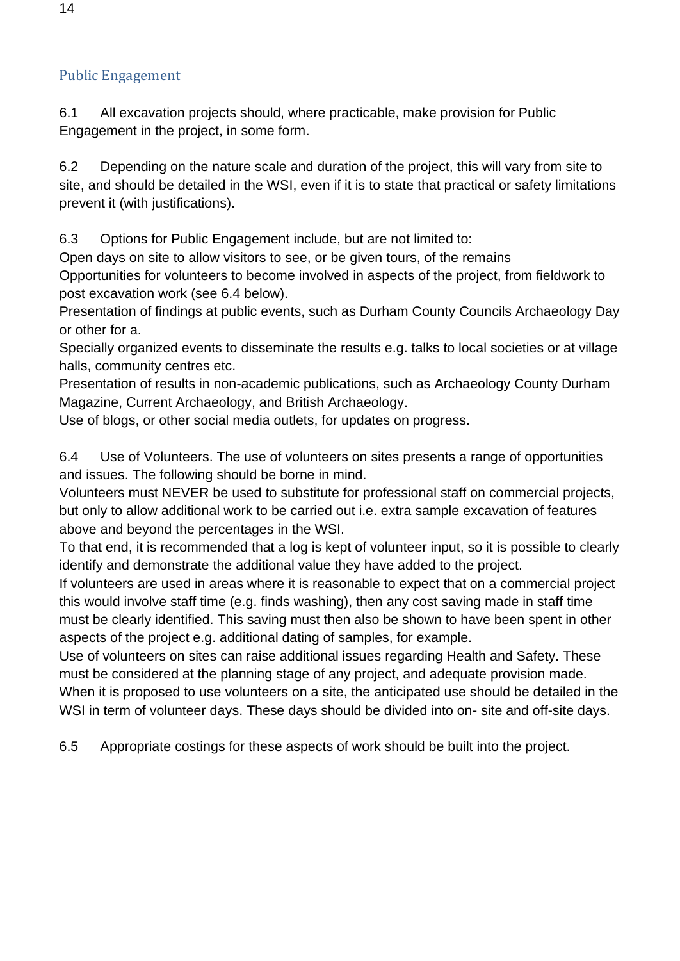## <span id="page-13-0"></span>Public Engagement

6.1 All excavation projects should, where practicable, make provision for Public Engagement in the project, in some form.

6.2 Depending on the nature scale and duration of the project, this will vary from site to site, and should be detailed in the WSI, even if it is to state that practical or safety limitations prevent it (with justifications).

6.3 Options for Public Engagement include, but are not limited to:

Open days on site to allow visitors to see, or be given tours, of the remains

Opportunities for volunteers to become involved in aspects of the project, from fieldwork to post excavation work (see 6.4 below).

Presentation of findings at public events, such as Durham County Councils Archaeology Day or other for a.

Specially organized events to disseminate the results e.g. talks to local societies or at village halls, community centres etc.

Presentation of results in non-academic publications, such as Archaeology County Durham Magazine, Current Archaeology, and British Archaeology.

Use of blogs, or other social media outlets, for updates on progress.

6.4 Use of Volunteers. The use of volunteers on sites presents a range of opportunities and issues. The following should be borne in mind.

Volunteers must NEVER be used to substitute for professional staff on commercial projects, but only to allow additional work to be carried out i.e. extra sample excavation of features above and beyond the percentages in the WSI.

To that end, it is recommended that a log is kept of volunteer input, so it is possible to clearly identify and demonstrate the additional value they have added to the project.

If volunteers are used in areas where it is reasonable to expect that on a commercial project this would involve staff time (e.g. finds washing), then any cost saving made in staff time must be clearly identified. This saving must then also be shown to have been spent in other aspects of the project e.g. additional dating of samples, for example.

Use of volunteers on sites can raise additional issues regarding Health and Safety. These must be considered at the planning stage of any project, and adequate provision made. When it is proposed to use volunteers on a site, the anticipated use should be detailed in the WSI in term of volunteer days. These days should be divided into on- site and off-site days.

6.5 Appropriate costings for these aspects of work should be built into the project.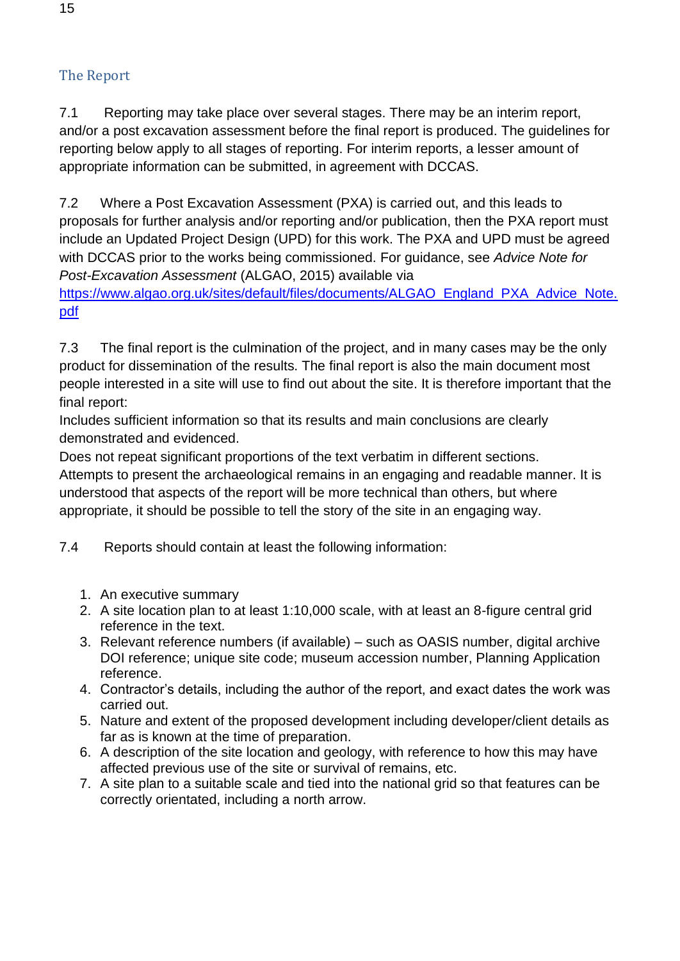## <span id="page-14-0"></span>The Report

7.1 Reporting may take place over several stages. There may be an interim report, and/or a post excavation assessment before the final report is produced. The guidelines for reporting below apply to all stages of reporting. For interim reports, a lesser amount of appropriate information can be submitted, in agreement with DCCAS.

7.2 Where a Post Excavation Assessment (PXA) is carried out, and this leads to proposals for further analysis and/or reporting and/or publication, then the PXA report must include an Updated Project Design (UPD) for this work. The PXA and UPD must be agreed with DCCAS prior to the works being commissioned. For guidance, see *Advice Note for Post-Excavation Assessment* (ALGAO, 2015) available via

[https://www.algao.org.uk/sites/default/files/documents/ALGAO\\_England\\_PXA\\_Advice\\_Note.](https://www.algao.org.uk/sites/default/files/documents/ALGAO_England_PXA_Advice_Note.pdf) [pdf](https://www.algao.org.uk/sites/default/files/documents/ALGAO_England_PXA_Advice_Note.pdf)

7.3 The final report is the culmination of the project, and in many cases may be the only product for dissemination of the results. The final report is also the main document most people interested in a site will use to find out about the site. It is therefore important that the final report:

Includes sufficient information so that its results and main conclusions are clearly demonstrated and evidenced.

Does not repeat significant proportions of the text verbatim in different sections. Attempts to present the archaeological remains in an engaging and readable manner. It is understood that aspects of the report will be more technical than others, but where appropriate, it should be possible to tell the story of the site in an engaging way.

7.4 Reports should contain at least the following information:

- 1. An executive summary
- 2. A site location plan to at least 1:10,000 scale, with at least an 8-figure central grid reference in the text.
- 3. Relevant reference numbers (if available) such as OASIS number, digital archive DOI reference; unique site code; museum accession number, Planning Application reference.
- 4. Contractor's details, including the author of the report, and exact dates the work was carried out.
- 5. Nature and extent of the proposed development including developer/client details as far as is known at the time of preparation.
- 6. A description of the site location and geology, with reference to how this may have affected previous use of the site or survival of remains, etc.
- 7. A site plan to a suitable scale and tied into the national grid so that features can be correctly orientated, including a north arrow.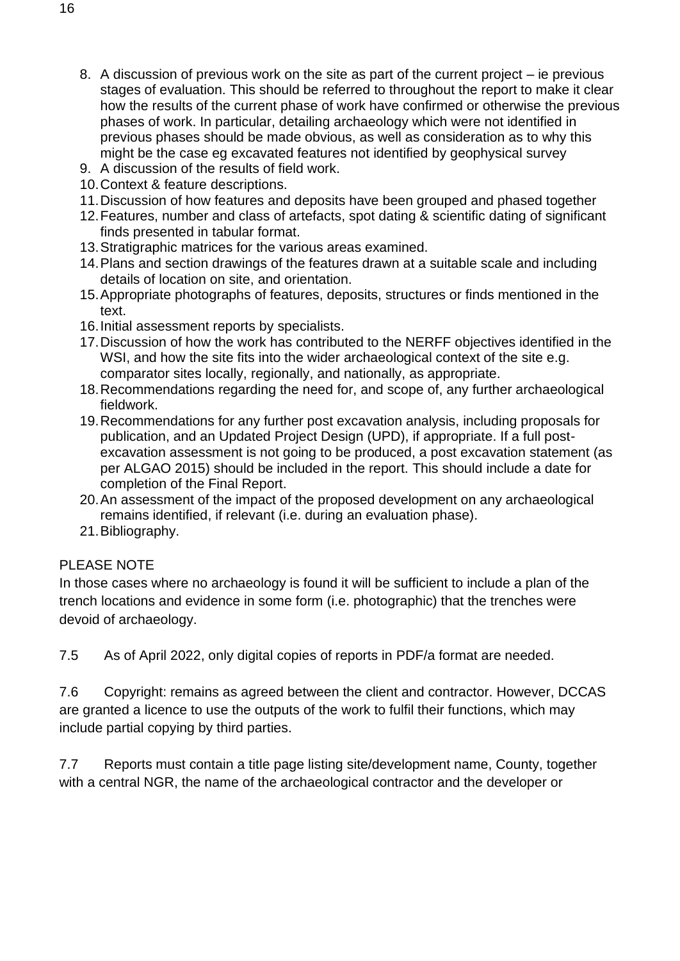- 8. A discussion of previous work on the site as part of the current project ie previous stages of evaluation. This should be referred to throughout the report to make it clear how the results of the current phase of work have confirmed or otherwise the previous phases of work. In particular, detailing archaeology which were not identified in previous phases should be made obvious, as well as consideration as to why this might be the case eg excavated features not identified by geophysical survey
- 9. A discussion of the results of field work.
- 10.Context & feature descriptions.
- 11.Discussion of how features and deposits have been grouped and phased together
- 12.Features, number and class of artefacts, spot dating & scientific dating of significant finds presented in tabular format.
- 13.Stratigraphic matrices for the various areas examined.
- 14.Plans and section drawings of the features drawn at a suitable scale and including details of location on site, and orientation.
- 15.Appropriate photographs of features, deposits, structures or finds mentioned in the text.
- 16.Initial assessment reports by specialists.
- 17.Discussion of how the work has contributed to the NERFF objectives identified in the WSI, and how the site fits into the wider archaeological context of the site e.g. comparator sites locally, regionally, and nationally, as appropriate.
- 18.Recommendations regarding the need for, and scope of, any further archaeological fieldwork.
- 19.Recommendations for any further post excavation analysis, including proposals for publication, and an Updated Project Design (UPD), if appropriate. If a full postexcavation assessment is not going to be produced, a post excavation statement (as per ALGAO 2015) should be included in the report. This should include a date for completion of the Final Report.
- 20.An assessment of the impact of the proposed development on any archaeological remains identified, if relevant (i.e. during an evaluation phase).
- 21.Bibliography.

### PLEASE NOTE

In those cases where no archaeology is found it will be sufficient to include a plan of the trench locations and evidence in some form (i.e. photographic) that the trenches were devoid of archaeology.

7.5 As of April 2022, only digital copies of reports in PDF/a format are needed.

7.6 Copyright: remains as agreed between the client and contractor. However, DCCAS are granted a licence to use the outputs of the work to fulfil their functions, which may include partial copying by third parties.

7.7 Reports must contain a title page listing site/development name, County, together with a central NGR, the name of the archaeological contractor and the developer or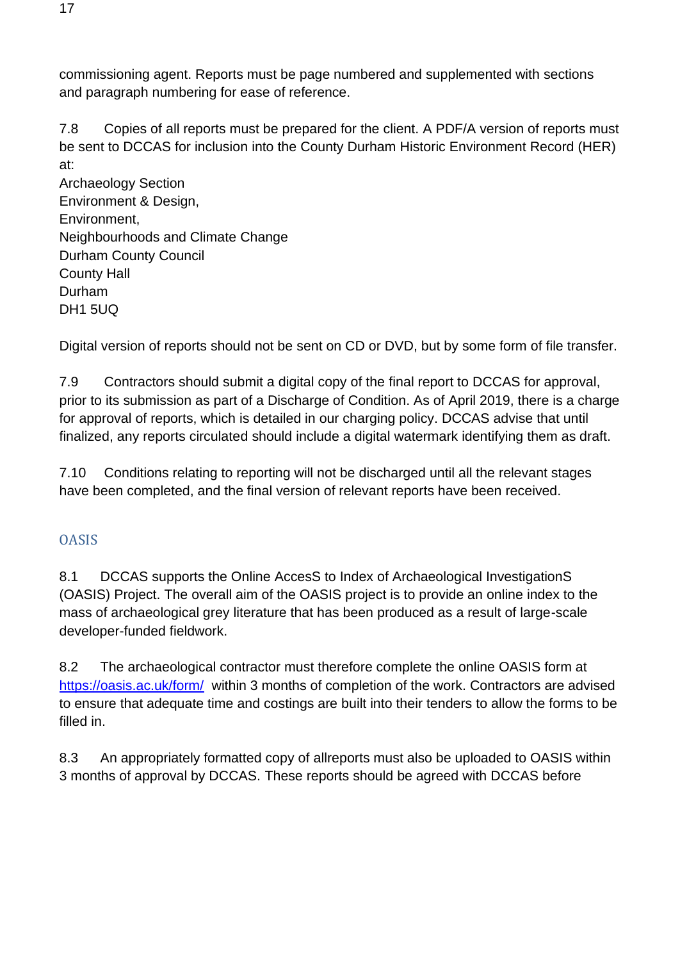commissioning agent. Reports must be page numbered and supplemented with sections and paragraph numbering for ease of reference.

7.8 Copies of all reports must be prepared for the client. A PDF/A version of reports must be sent to DCCAS for inclusion into the County Durham Historic Environment Record (HER) at:

Archaeology Section Environment & Design, Environment, Neighbourhoods and Climate Change Durham County Council County Hall Durham DH1 5UQ

Digital version of reports should not be sent on CD or DVD, but by some form of file transfer.

7.9 Contractors should submit a digital copy of the final report to DCCAS for approval, prior to its submission as part of a Discharge of Condition. As of April 2019, there is a charge for approval of reports, which is detailed in our charging policy. DCCAS advise that until finalized, any reports circulated should include a digital watermark identifying them as draft.

7.10 Conditions relating to reporting will not be discharged until all the relevant stages have been completed, and the final version of relevant reports have been received.

## <span id="page-16-0"></span>**OASIS**

8.1 DCCAS supports the Online AccesS to Index of Archaeological InvestigationS (OASIS) Project. The overall aim of the OASIS project is to provide an online index to the mass of archaeological grey literature that has been produced as a result of large-scale developer-funded fieldwork.

8.2 The archaeological contractor must therefore complete the online OASIS form at [https://oasis.ac.uk/form/](https://www.google.com/url?q=https://oasis.ac.uk/form/&sa=D&ust=1539610887885000&usg=AFQjCNFH6Lphw7D7xnLkXhCcToGhyQcb5Q) within 3 months of completion of the work. Contractors are advised to ensure that adequate time and costings are built into their tenders to allow the forms to be filled in.

8.3 An appropriately formatted copy of allreports must also be uploaded to OASIS within 3 months of approval by DCCAS. These reports should be agreed with DCCAS before

17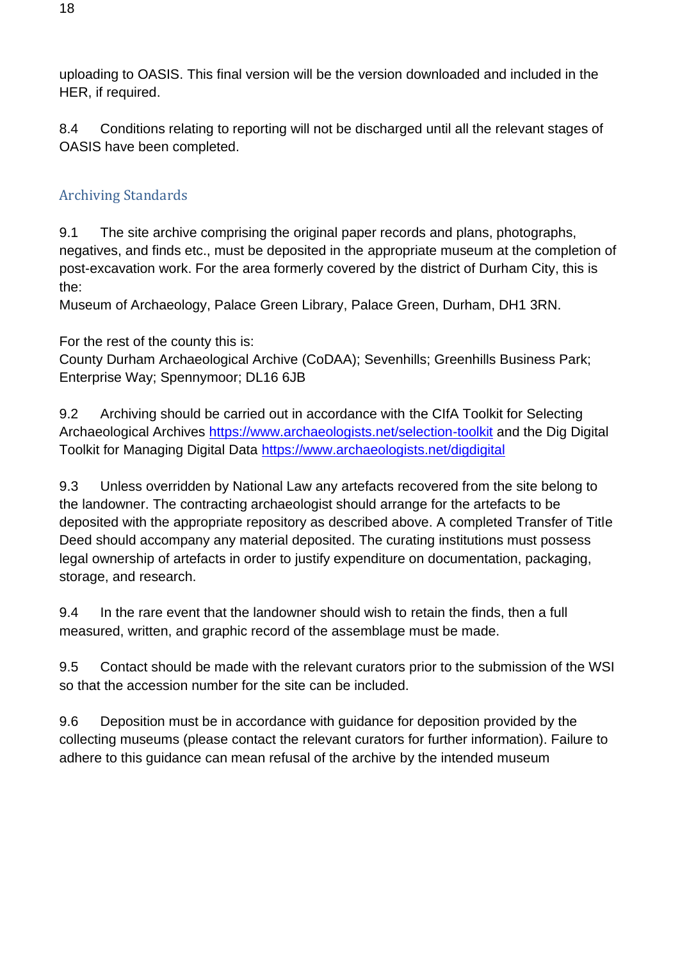uploading to OASIS. This final version will be the version downloaded and included in the HER, if required.

8.4 Conditions relating to reporting will not be discharged until all the relevant stages of OASIS have been completed.

## <span id="page-17-0"></span>Archiving Standards

9.1 The site archive comprising the original paper records and plans, photographs, negatives, and finds etc., must be deposited in the appropriate museum at the completion of post-excavation work. For the area formerly covered by the district of Durham City, this is the:

Museum of Archaeology, Palace Green Library, Palace Green, Durham, DH1 3RN.

For the rest of the county this is:

County Durham Archaeological Archive (CoDAA); Sevenhills; Greenhills Business Park; Enterprise Way; Spennymoor; DL16 6JB

9.2 Archiving should be carried out in accordance with the CIfA Toolkit for Selecting Archaeological Archives <https://www.archaeologists.net/selection-toolkit> and the Dig Digital Toolkit for Managing Digital Data<https://www.archaeologists.net/digdigital>

9.3 Unless overridden by National Law any artefacts recovered from the site belong to the landowner. The contracting archaeologist should arrange for the artefacts to be deposited with the appropriate repository as described above. A completed Transfer of Title Deed should accompany any material deposited. The curating institutions must possess legal ownership of artefacts in order to justify expenditure on documentation, packaging, storage, and research.

9.4 In the rare event that the landowner should wish to retain the finds, then a full measured, written, and graphic record of the assemblage must be made.

9.5 Contact should be made with the relevant curators prior to the submission of the WSI so that the accession number for the site can be included.

9.6 Deposition must be in accordance with guidance for deposition provided by the collecting museums (please contact the relevant curators for further information). Failure to adhere to this guidance can mean refusal of the archive by the intended museum

18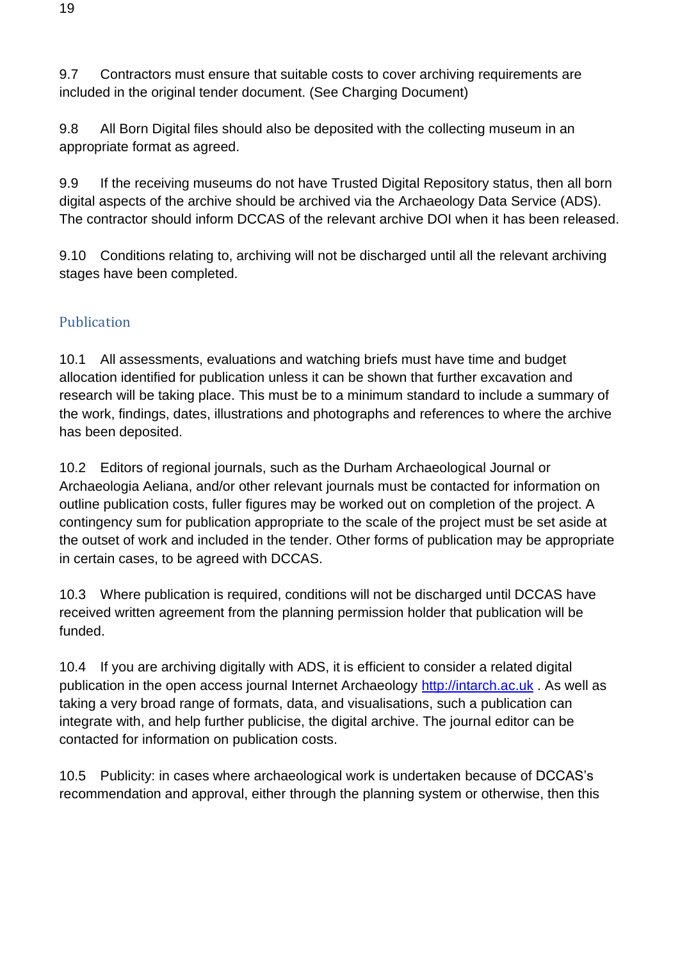9.7 Contractors must ensure that suitable costs to cover archiving requirements are included in the original tender document. (See Charging Document)

9.8 All Born Digital files should also be deposited with the collecting museum in an appropriate format as agreed.

9.9 If the receiving museums do not have Trusted Digital Repository status, then all born digital aspects of the archive should be archived via the Archaeology Data Service (ADS). The contractor should inform DCCAS of the relevant archive DOI when it has been released.

9.10 Conditions relating to, archiving will not be discharged until all the relevant archiving stages have been completed.

## <span id="page-18-0"></span>Publication

10.1 All assessments, evaluations and watching briefs must have time and budget allocation identified for publication unless it can be shown that further excavation and research will be taking place. This must be to a minimum standard to include a summary of the work, findings, dates, illustrations and photographs and references to where the archive has been deposited.

10.2 Editors of regional journals, such as the Durham Archaeological Journal or Archaeologia Aeliana, and/or other relevant journals must be contacted for information on outline publication costs, fuller figures may be worked out on completion of the project. A contingency sum for publication appropriate to the scale of the project must be set aside at the outset of work and included in the tender. Other forms of publication may be appropriate in certain cases, to be agreed with DCCAS.

10.3 Where publication is required, conditions will not be discharged until DCCAS have received written agreement from the planning permission holder that publication will be funded.

10.4 If you are archiving digitally with ADS, it is efficient to consider a related digital publication in the open access journal Internet Archaeology [http://intarch.ac.uk](https://www.google.com/url?q=http://intarch.ac.uk&sa=D&ust=1539611118369000&usg=AFQjCNExhgemffx2BwB5v1Kotps54oW_oA). As well as taking a very broad range of formats, data, and visualisations, such a publication can integrate with, and help further publicise, the digital archive. The journal editor can be contacted for information on publication costs.

10.5 Publicity: in cases where archaeological work is undertaken because of DCCAS's recommendation and approval, either through the planning system or otherwise, then this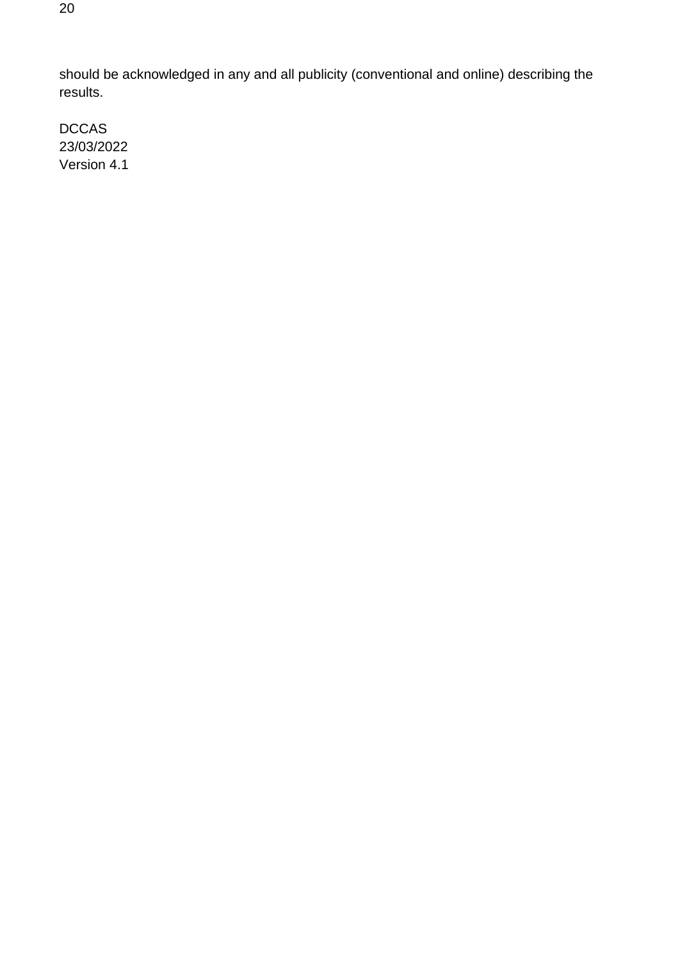should be acknowledged in any and all publicity (conventional and online) describing the results.

DCCAS 23/03/2022 Version 4.1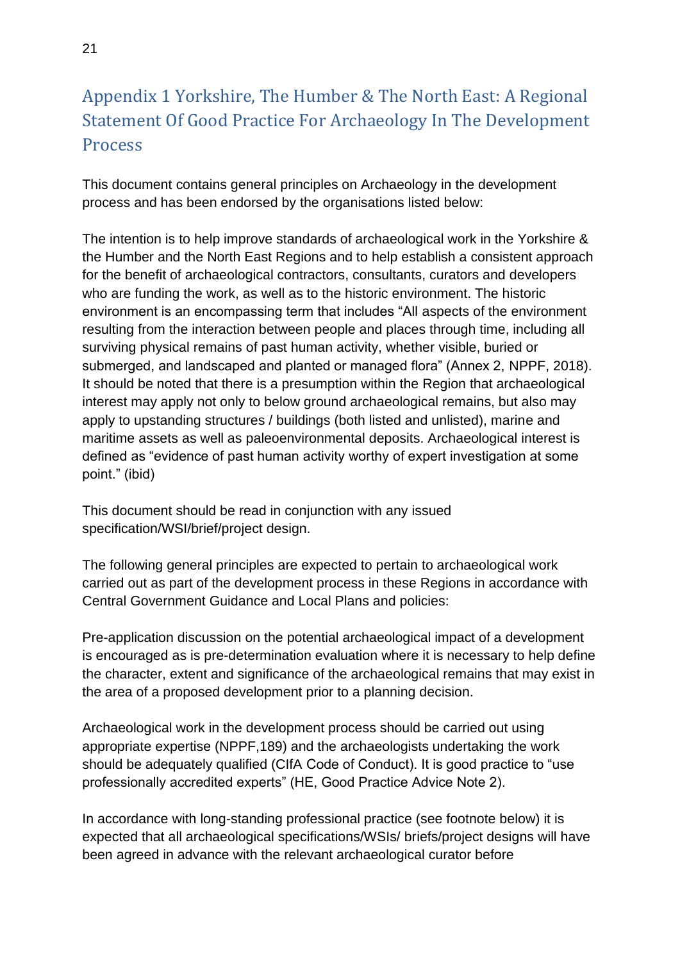# <span id="page-20-0"></span>Appendix 1 Yorkshire, The Humber & The North East: A Regional Statement Of Good Practice For Archaeology In The Development **Process**

This document contains general principles on Archaeology in the development process and has been endorsed by the organisations listed below:

The intention is to help improve standards of archaeological work in the Yorkshire & the Humber and the North East Regions and to help establish a consistent approach for the benefit of archaeological contractors, consultants, curators and developers who are funding the work, as well as to the historic environment. The historic environment is an encompassing term that includes "All aspects of the environment resulting from the interaction between people and places through time, including all surviving physical remains of past human activity, whether visible, buried or submerged, and landscaped and planted or managed flora" (Annex 2, NPPF, 2018). It should be noted that there is a presumption within the Region that archaeological interest may apply not only to below ground archaeological remains, but also may apply to upstanding structures / buildings (both listed and unlisted), marine and maritime assets as well as paleoenvironmental deposits. Archaeological interest is defined as "evidence of past human activity worthy of expert investigation at some point." (ibid)

This document should be read in conjunction with any issued specification/WSI/brief/project design.

The following general principles are expected to pertain to archaeological work carried out as part of the development process in these Regions in accordance with Central Government Guidance and Local Plans and policies:

Pre-application discussion on the potential archaeological impact of a development is encouraged as is pre-determination evaluation where it is necessary to help define the character, extent and significance of the archaeological remains that may exist in the area of a proposed development prior to a planning decision.

Archaeological work in the development process should be carried out using appropriate expertise (NPPF,189) and the archaeologists undertaking the work should be adequately qualified (CIfA Code of Conduct). It is good practice to "use professionally accredited experts" (HE, Good Practice Advice Note 2).

In accordance with long-standing professional practice (see footnote below) it is expected that all archaeological specifications/WSIs/ briefs/project designs will have been agreed in advance with the relevant archaeological curator before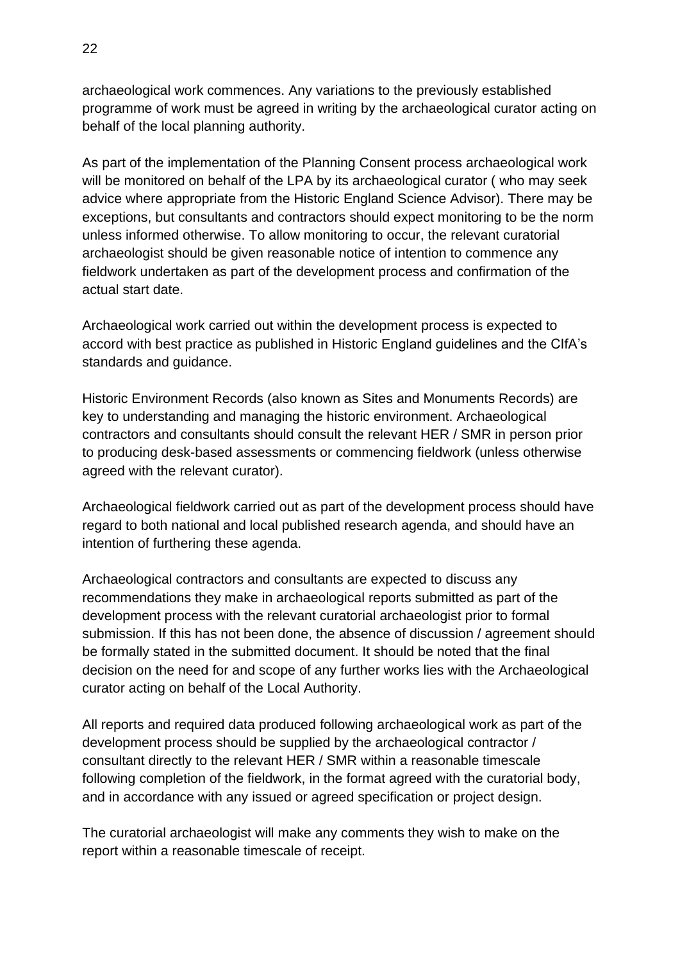archaeological work commences. Any variations to the previously established programme of work must be agreed in writing by the archaeological curator acting on behalf of the local planning authority.

As part of the implementation of the Planning Consent process archaeological work will be monitored on behalf of the LPA by its archaeological curator ( who may seek advice where appropriate from the Historic England Science Advisor). There may be exceptions, but consultants and contractors should expect monitoring to be the norm unless informed otherwise. To allow monitoring to occur, the relevant curatorial archaeologist should be given reasonable notice of intention to commence any fieldwork undertaken as part of the development process and confirmation of the actual start date.

Archaeological work carried out within the development process is expected to accord with best practice as published in Historic England guidelines and the CIfA's standards and guidance.

Historic Environment Records (also known as Sites and Monuments Records) are key to understanding and managing the historic environment. Archaeological contractors and consultants should consult the relevant HER / SMR in person prior to producing desk-based assessments or commencing fieldwork (unless otherwise agreed with the relevant curator).

Archaeological fieldwork carried out as part of the development process should have regard to both national and local published research agenda, and should have an intention of furthering these agenda.

Archaeological contractors and consultants are expected to discuss any recommendations they make in archaeological reports submitted as part of the development process with the relevant curatorial archaeologist prior to formal submission. If this has not been done, the absence of discussion / agreement should be formally stated in the submitted document. It should be noted that the final decision on the need for and scope of any further works lies with the Archaeological curator acting on behalf of the Local Authority.

All reports and required data produced following archaeological work as part of the development process should be supplied by the archaeological contractor / consultant directly to the relevant HER / SMR within a reasonable timescale following completion of the fieldwork, in the format agreed with the curatorial body, and in accordance with any issued or agreed specification or project design.

The curatorial archaeologist will make any comments they wish to make on the report within a reasonable timescale of receipt.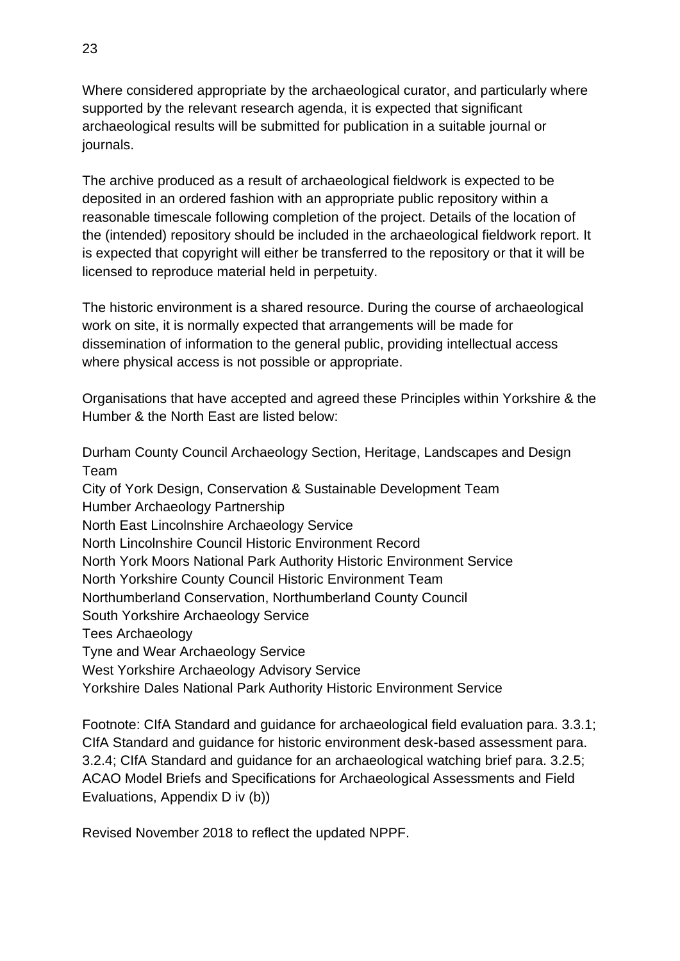Where considered appropriate by the archaeological curator, and particularly where supported by the relevant research agenda, it is expected that significant archaeological results will be submitted for publication in a suitable journal or journals.

The archive produced as a result of archaeological fieldwork is expected to be deposited in an ordered fashion with an appropriate public repository within a reasonable timescale following completion of the project. Details of the location of the (intended) repository should be included in the archaeological fieldwork report. It is expected that copyright will either be transferred to the repository or that it will be licensed to reproduce material held in perpetuity.

The historic environment is a shared resource. During the course of archaeological work on site, it is normally expected that arrangements will be made for dissemination of information to the general public, providing intellectual access where physical access is not possible or appropriate.

Organisations that have accepted and agreed these Principles within Yorkshire & the Humber & the North East are listed below:

Durham County Council Archaeology Section, Heritage, Landscapes and Design Team City of York Design, Conservation & Sustainable Development Team Humber Archaeology Partnership North East Lincolnshire Archaeology Service North Lincolnshire Council Historic Environment Record North York Moors National Park Authority Historic Environment Service North Yorkshire County Council Historic Environment Team Northumberland Conservation, Northumberland County Council South Yorkshire Archaeology Service Tees Archaeology Tyne and Wear Archaeology Service West Yorkshire Archaeology Advisory Service Yorkshire Dales National Park Authority Historic Environment Service

Footnote: CIfA Standard and guidance for archaeological field evaluation para. 3.3.1; CIfA Standard and guidance for historic environment desk-based assessment para. 3.2.4; CIfA Standard and guidance for an archaeological watching brief para. 3.2.5; ACAO Model Briefs and Specifications for Archaeological Assessments and Field Evaluations, Appendix D iv (b))

Revised November 2018 to reflect the updated NPPF.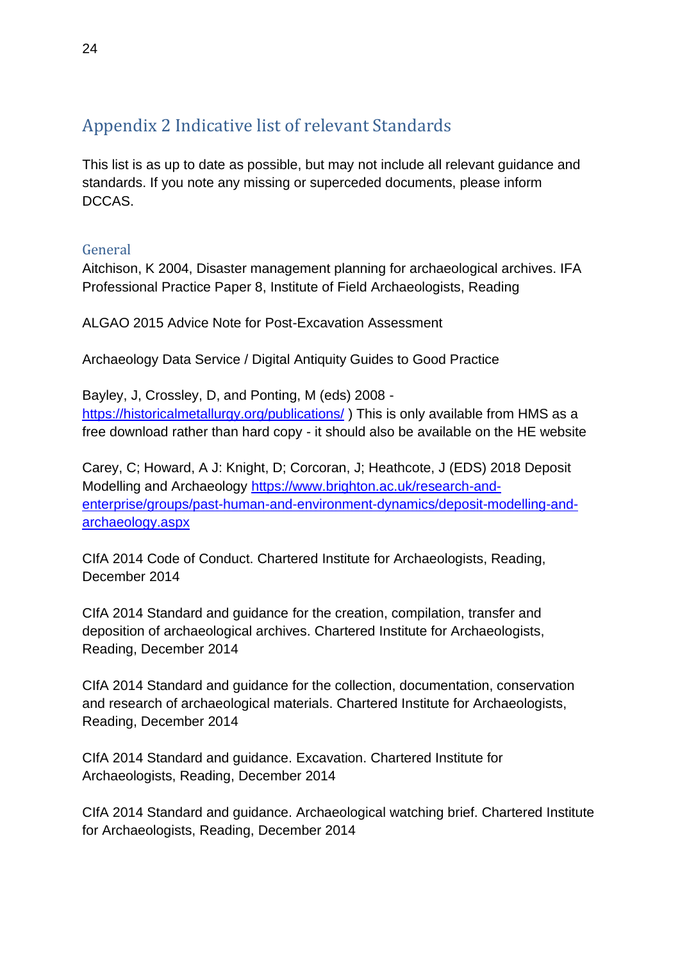# <span id="page-23-0"></span>Appendix 2 Indicative list of relevant Standards

This list is as up to date as possible, but may not include all relevant guidance and standards. If you note any missing or superceded documents, please inform DCCAS.

## <span id="page-23-1"></span>General

Aitchison, K 2004, Disaster management planning for archaeological archives. IFA Professional Practice Paper 8, Institute of Field Archaeologists, Reading

ALGAO 2015 Advice Note for Post-Excavation Assessment

Archaeology Data Service / Digital Antiquity Guides to Good Practice

Bayley, J, Crossley, D, and Ponting, M (eds) 2008 <https://historicalmetallurgy.org/publications/> ) This is only available from HMS as a free download rather than hard copy - it should also be available on the HE website

Carey, C; Howard, A J: Knight, D; Corcoran, J; Heathcote, J (EDS) 2018 Deposit Modelling and Archaeology [https://www.brighton.ac.uk/research-and](https://www.brighton.ac.uk/research-and-enterprise/groups/past-human-and-environment-dynamics/deposit-modelling-and-archaeology.aspx)[enterprise/groups/past-human-and-environment-dynamics/deposit-modelling-and](https://www.brighton.ac.uk/research-and-enterprise/groups/past-human-and-environment-dynamics/deposit-modelling-and-archaeology.aspx)[archaeology.aspx](https://www.brighton.ac.uk/research-and-enterprise/groups/past-human-and-environment-dynamics/deposit-modelling-and-archaeology.aspx)

CIfA 2014 Code of Conduct. Chartered Institute for Archaeologists, Reading, December 2014

CIfA 2014 Standard and guidance for the creation, compilation, transfer and deposition of archaeological archives. Chartered Institute for Archaeologists, Reading, December 2014

CIfA 2014 Standard and guidance for the collection, documentation, conservation and research of archaeological materials. Chartered Institute for Archaeologists, Reading, December 2014

CIfA 2014 Standard and guidance. Excavation. Chartered Institute for Archaeologists, Reading, December 2014

CIfA 2014 Standard and guidance. Archaeological watching brief. Chartered Institute for Archaeologists, Reading, December 2014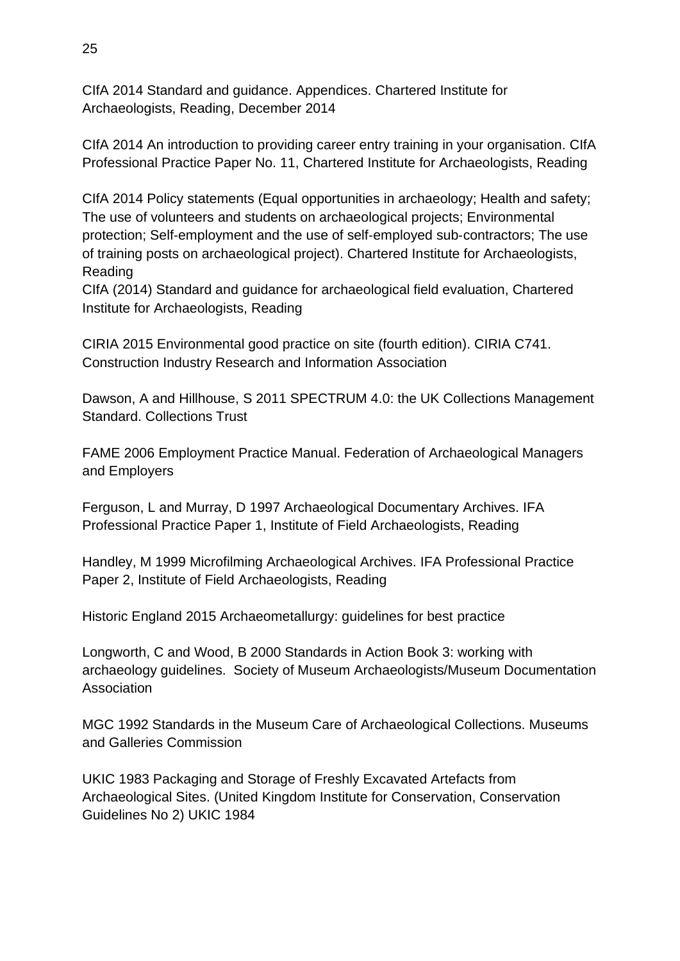CIfA 2014 Standard and guidance. Appendices. Chartered Institute for Archaeologists, Reading, December 2014

CIfA 2014 An introduction to providing career entry training in your organisation. CIfA Professional Practice Paper No. 11, Chartered Institute for Archaeologists, Reading

CIfA 2014 Policy statements (Equal opportunities in archaeology; Health and safety; The use of volunteers and students on archaeological projects; Environmental protection; Self‐employment and the use of self‐employed sub‐contractors; The use of training posts on archaeological project). Chartered Institute for Archaeologists, Reading

CIfA (2014) Standard and guidance for archaeological field evaluation, Chartered Institute for Archaeologists, Reading

CIRIA 2015 Environmental good practice on site (fourth edition). CIRIA C741. Construction Industry Research and Information Association

Dawson, A and Hillhouse, S 2011 SPECTRUM 4.0: the UK Collections Management Standard. Collections Trust

FAME 2006 Employment Practice Manual. Federation of Archaeological Managers and Employers

Ferguson, L and Murray, D 1997 Archaeological Documentary Archives. IFA Professional Practice Paper 1, Institute of Field Archaeologists, Reading

Handley, M 1999 Microfilming Archaeological Archives. IFA Professional Practice Paper 2, Institute of Field Archaeologists, Reading

Historic England 2015 Archaeometallurgy: guidelines for best practice

Longworth, C and Wood, B 2000 Standards in Action Book 3: working with archaeology guidelines. Society of Museum Archaeologists/Museum Documentation **Association** 

MGC 1992 Standards in the Museum Care of Archaeological Collections. Museums and Galleries Commission

UKIC 1983 Packaging and Storage of Freshly Excavated Artefacts from Archaeological Sites. (United Kingdom Institute for Conservation, Conservation Guidelines No 2) UKIC 1984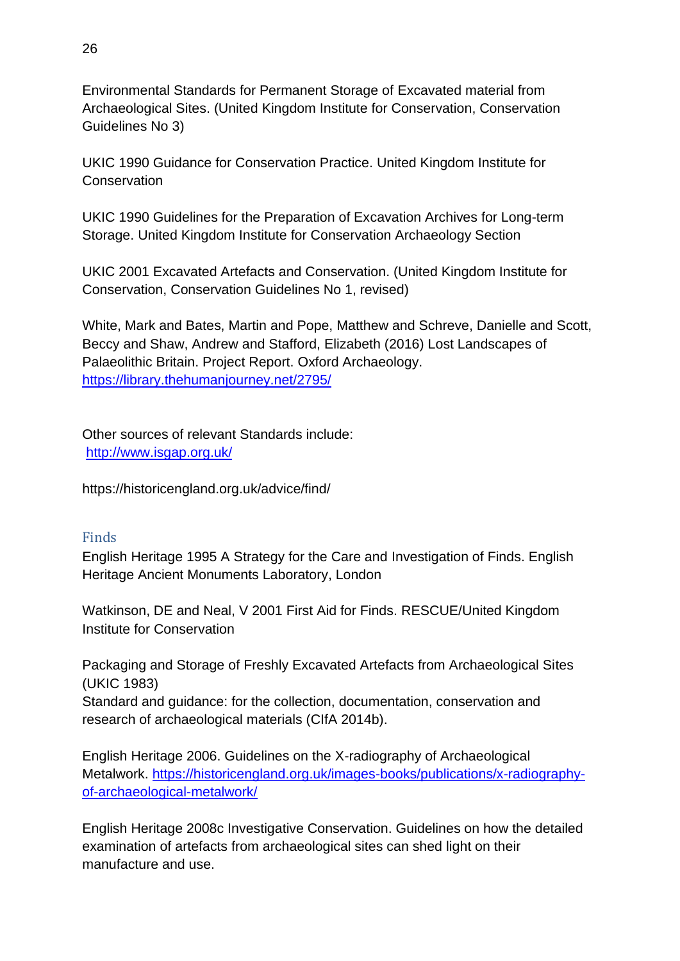Environmental Standards for Permanent Storage of Excavated material from Archaeological Sites. (United Kingdom Institute for Conservation, Conservation Guidelines No 3)

UKIC 1990 Guidance for Conservation Practice. United Kingdom Institute for **Conservation** 

UKIC 1990 Guidelines for the Preparation of Excavation Archives for Long-term Storage. United Kingdom Institute for Conservation Archaeology Section

UKIC 2001 Excavated Artefacts and Conservation. (United Kingdom Institute for Conservation, Conservation Guidelines No 1, revised)

White, Mark and Bates, Martin and Pope, Matthew and Schreve, Danielle and Scott, Beccy and Shaw, Andrew and Stafford, Elizabeth (2016) Lost Landscapes of Palaeolithic Britain. Project Report. Oxford Archaeology. <https://library.thehumanjourney.net/2795/>

Other sources of relevant Standards include: <http://www.isgap.org.uk/>

https://historicengland.org.uk/advice/find/

#### <span id="page-25-0"></span>Finds

English Heritage 1995 A Strategy for the Care and Investigation of Finds. English Heritage Ancient Monuments Laboratory, London

Watkinson, DE and Neal, V 2001 First Aid for Finds. RESCUE/United Kingdom Institute for Conservation

Packaging and Storage of Freshly Excavated Artefacts from Archaeological Sites (UKIC 1983) Standard and guidance: for the collection, documentation, conservation and research of archaeological materials (CIfA 2014b).

English Heritage 2006. Guidelines on the X-radiography of Archaeological Metalwork. [https://historicengland.org.uk/images-books/publications/x-radiography](https://historicengland.org.uk/images-books/publications/x-radiography-of-archaeological-metalwork/)[of-archaeological-metalwork/](https://historicengland.org.uk/images-books/publications/x-radiography-of-archaeological-metalwork/)

English Heritage 2008c Investigative Conservation. Guidelines on how the detailed examination of artefacts from archaeological sites can shed light on their manufacture and use.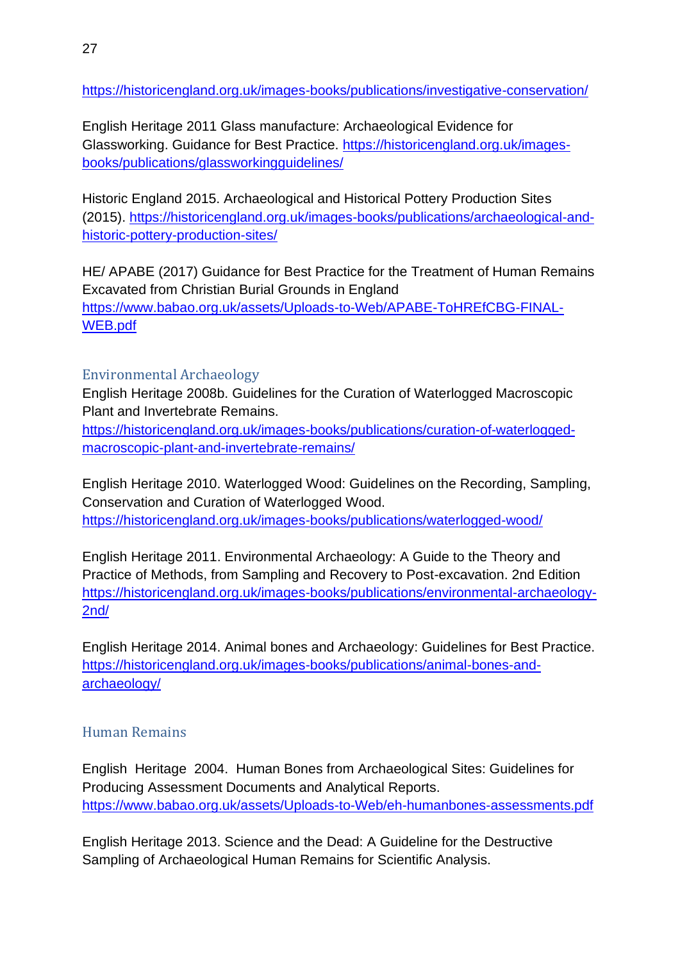<https://historicengland.org.uk/images-books/publications/investigative-conservation/>

English Heritage 2011 Glass manufacture: Archaeological Evidence for Glassworking. Guidance for Best Practice. [https://historicengland.org.uk/images](https://historicengland.org.uk/images-books/publications/glassworkingguidelines/)[books/publications/glassworkingguidelines/](https://historicengland.org.uk/images-books/publications/glassworkingguidelines/)

Historic England 2015. Archaeological and Historical Pottery Production Sites (2015). [https://historicengland.org.uk/images-books/publications/archaeological-and](https://historicengland.org.uk/images-books/publications/archaeological-and-historic-pottery-production-sites/)[historic-pottery-production-sites/](https://historicengland.org.uk/images-books/publications/archaeological-and-historic-pottery-production-sites/)

HE/ APABE (2017) Guidance for Best Practice for the Treatment of Human Remains Excavated from Christian Burial Grounds in England [https://www.babao.org.uk/assets/Uploads-to-Web/APABE-ToHREfCBG-FINAL-](https://www.babao.org.uk/assets/Uploads-to-Web/APABE-ToHREfCBG-FINAL-WEB.pdf)[WEB.pdf](https://www.babao.org.uk/assets/Uploads-to-Web/APABE-ToHREfCBG-FINAL-WEB.pdf)

#### <span id="page-26-0"></span>Environmental Archaeology

English Heritage 2008b. Guidelines for the Curation of Waterlogged Macroscopic Plant and Invertebrate Remains.

[https://historicengland.org.uk/images-books/publications/curation-of-waterlogged](https://historicengland.org.uk/images-books/publications/curation-of-waterlogged-macroscopic-plant-and-invertebrate-remains/)[macroscopic-plant-and-invertebrate-remains/](https://historicengland.org.uk/images-books/publications/curation-of-waterlogged-macroscopic-plant-and-invertebrate-remains/)

English Heritage 2010. Waterlogged Wood: Guidelines on the Recording, Sampling, Conservation and Curation of Waterlogged Wood. <https://historicengland.org.uk/images-books/publications/waterlogged-wood/>

English Heritage 2011. Environmental Archaeology: A Guide to the Theory and Practice of Methods, from Sampling and Recovery to Post-excavation. 2nd Edition [https://historicengland.org.uk/images-books/publications/environmental-archaeology-](https://historicengland.org.uk/images-books/publications/environmental-archaeology-2nd/)[2nd/](https://historicengland.org.uk/images-books/publications/environmental-archaeology-2nd/)

English Heritage 2014. Animal bones and Archaeology: Guidelines for Best Practice. [https://historicengland.org.uk/images-books/publications/animal-bones-and](https://historicengland.org.uk/images-books/publications/animal-bones-and-archaeology/)[archaeology/](https://historicengland.org.uk/images-books/publications/animal-bones-and-archaeology/)

### <span id="page-26-1"></span>Human Remains

English Heritage 2004. Human Bones from Archaeological Sites: Guidelines for Producing Assessment Documents and Analytical Reports. <https://www.babao.org.uk/assets/Uploads-to-Web/eh-humanbones-assessments.pdf>

English Heritage 2013. Science and the Dead: A Guideline for the Destructive Sampling of Archaeological Human Remains for Scientific Analysis.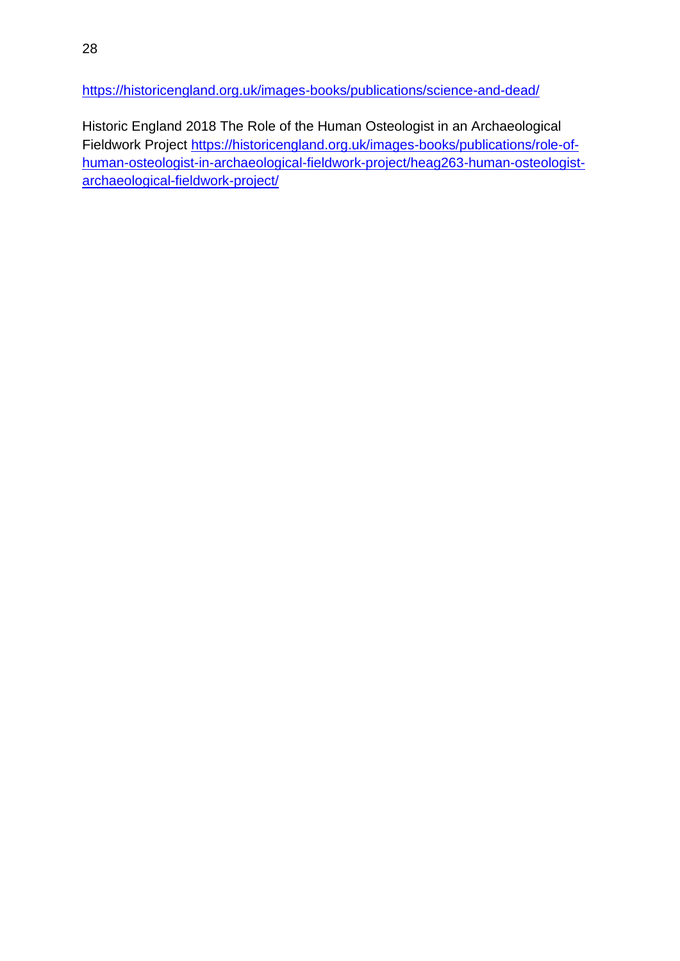<https://historicengland.org.uk/images-books/publications/science-and-dead/>

Historic England 2018 The Role of the Human Osteologist in an Archaeological Fieldwork Project [https://historicengland.org.uk/images-books/publications/role-of](https://historicengland.org.uk/images-books/publications/role-of-human-osteologist-in-archaeological-fieldwork-project/heag263-human-osteologist-archaeological-fieldwork-project/)[human-osteologist-in-archaeological-fieldwork-project/heag263-human-osteologist](https://historicengland.org.uk/images-books/publications/role-of-human-osteologist-in-archaeological-fieldwork-project/heag263-human-osteologist-archaeological-fieldwork-project/)[archaeological-fieldwork-project/](https://historicengland.org.uk/images-books/publications/role-of-human-osteologist-in-archaeological-fieldwork-project/heag263-human-osteologist-archaeological-fieldwork-project/)